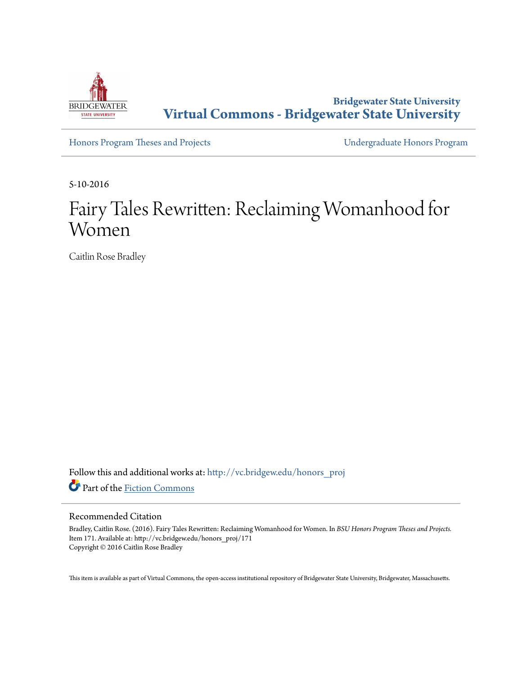

**Bridgewater State University [Virtual Commons - Bridgewater State University](http://vc.bridgew.edu?utm_source=vc.bridgew.edu%2Fhonors_proj%2F171&utm_medium=PDF&utm_campaign=PDFCoverPages)**

[Honors Program Theses and Projects](http://vc.bridgew.edu/honors_proj?utm_source=vc.bridgew.edu%2Fhonors_proj%2F171&utm_medium=PDF&utm_campaign=PDFCoverPages) [Undergraduate Honors Program](http://vc.bridgew.edu/honors?utm_source=vc.bridgew.edu%2Fhonors_proj%2F171&utm_medium=PDF&utm_campaign=PDFCoverPages)

5-10-2016

# Fairy Tales Rewritten: Reclaiming Womanhood for Women

Caitlin Rose Bradley

Follow this and additional works at: [http://vc.bridgew.edu/honors\\_proj](http://vc.bridgew.edu/honors_proj?utm_source=vc.bridgew.edu%2Fhonors_proj%2F171&utm_medium=PDF&utm_campaign=PDFCoverPages) Part of the [Fiction Commons](http://network.bepress.com/hgg/discipline/1151?utm_source=vc.bridgew.edu%2Fhonors_proj%2F171&utm_medium=PDF&utm_campaign=PDFCoverPages)

#### Recommended Citation

Bradley, Caitlin Rose. (2016). Fairy Tales Rewritten: Reclaiming Womanhood for Women. In *BSU Honors Program Theses and Projects.* Item 171. Available at: http://vc.bridgew.edu/honors\_proj/171 Copyright © 2016 Caitlin Rose Bradley

This item is available as part of Virtual Commons, the open-access institutional repository of Bridgewater State University, Bridgewater, Massachusetts.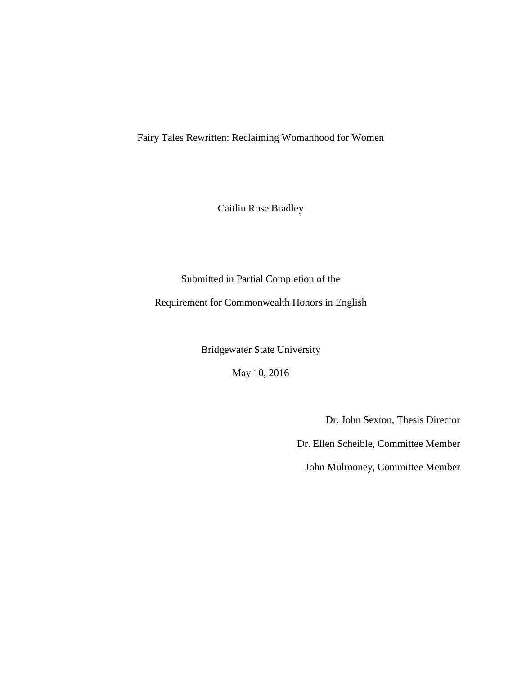Fairy Tales Rewritten: Reclaiming Womanhood for Women

Caitlin Rose Bradley

Submitted in Partial Completion of the Requirement for Commonwealth Honors in English

Bridgewater State University

May 10, 2016

Dr. John Sexton, Thesis Director

Dr. Ellen Scheible, Committee Member

John Mulrooney, Committee Member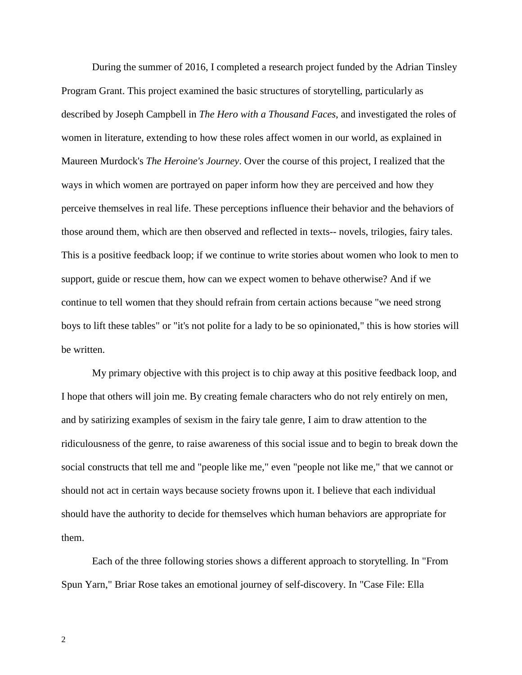During the summer of 2016, I completed a research project funded by the Adrian Tinsley Program Grant. This project examined the basic structures of storytelling, particularly as described by Joseph Campbell in *The Hero with a Thousand Faces*, and investigated the roles of women in literature, extending to how these roles affect women in our world, as explained in Maureen Murdock's *The Heroine's Journey*. Over the course of this project, I realized that the ways in which women are portrayed on paper inform how they are perceived and how they perceive themselves in real life. These perceptions influence their behavior and the behaviors of those around them, which are then observed and reflected in texts-- novels, trilogies, fairy tales. This is a positive feedback loop; if we continue to write stories about women who look to men to support, guide or rescue them, how can we expect women to behave otherwise? And if we continue to tell women that they should refrain from certain actions because "we need strong boys to lift these tables" or "it's not polite for a lady to be so opinionated," this is how stories will be written.

My primary objective with this project is to chip away at this positive feedback loop, and I hope that others will join me. By creating female characters who do not rely entirely on men, and by satirizing examples of sexism in the fairy tale genre, I aim to draw attention to the ridiculousness of the genre, to raise awareness of this social issue and to begin to break down the social constructs that tell me and "people like me," even "people not like me," that we cannot or should not act in certain ways because society frowns upon it. I believe that each individual should have the authority to decide for themselves which human behaviors are appropriate for them.

Each of the three following stories shows a different approach to storytelling. In "From Spun Yarn," Briar Rose takes an emotional journey of self-discovery. In "Case File: Ella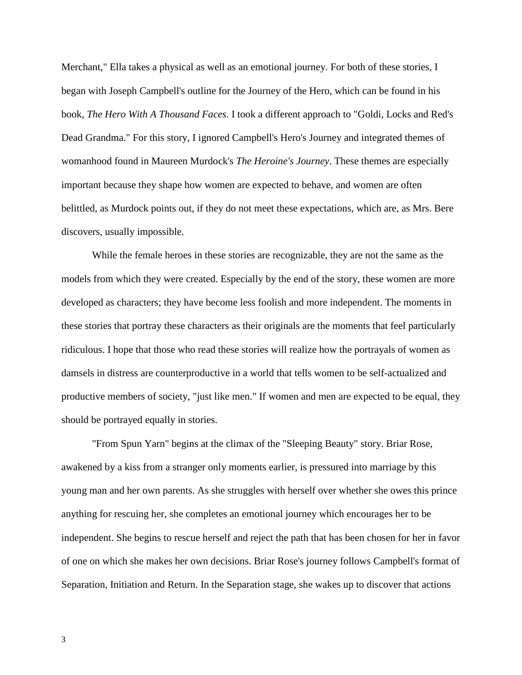Merchant," Ella takes a physical as well as an emotional journey. For both of these stories, I began with Joseph Campbell's outline for the Journey of the Hero, which can be found in his book, *The Hero With A Thousand Faces*. I took a different approach to "Goldi, Locks and Red's Dead Grandma." For this story, I ignored Campbell's Hero's Journey and integrated themes of womanhood found in Maureen Murdock's *The Heroine's Journey*. These themes are especially important because they shape how women are expected to behave, and women are often belittled, as Murdock points out, if they do not meet these expectations, which are, as Mrs. Bere discovers, usually impossible.

While the female heroes in these stories are recognizable, they are not the same as the models from which they were created. Especially by the end of the story, these women are more developed as characters; they have become less foolish and more independent. The moments in these stories that portray these characters as their originals are the moments that feel particularly ridiculous. I hope that those who read these stories will realize how the portrayals of women as damsels in distress are counterproductive in a world that tells women to be self-actualized and productive members of society, "just like men." If women and men are expected to be equal, they should be portrayed equally in stories.

"From Spun Yarn" begins at the climax of the "Sleeping Beauty" story. Briar Rose, awakened by a kiss from a stranger only moments earlier, is pressured into marriage by this young man and her own parents. As she struggles with herself over whether she owes this prince anything for rescuing her, she completes an emotional journey which encourages her to be independent. She begins to rescue herself and reject the path that has been chosen for her in favor of one on which she makes her own decisions. Briar Rose's journey follows Campbell's format of Separation, Initiation and Return. In the Separation stage, she wakes up to discover that actions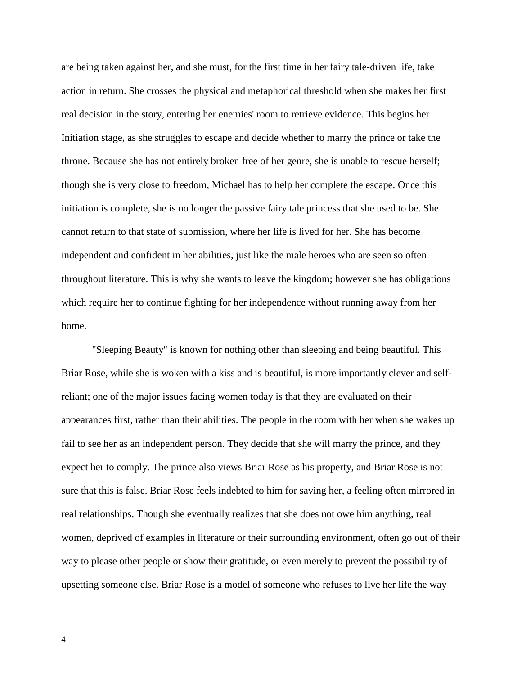are being taken against her, and she must, for the first time in her fairy tale-driven life, take action in return. She crosses the physical and metaphorical threshold when she makes her first real decision in the story, entering her enemies' room to retrieve evidence. This begins her Initiation stage, as she struggles to escape and decide whether to marry the prince or take the throne. Because she has not entirely broken free of her genre, she is unable to rescue herself; though she is very close to freedom, Michael has to help her complete the escape. Once this initiation is complete, she is no longer the passive fairy tale princess that she used to be. She cannot return to that state of submission, where her life is lived for her. She has become independent and confident in her abilities, just like the male heroes who are seen so often throughout literature. This is why she wants to leave the kingdom; however she has obligations which require her to continue fighting for her independence without running away from her home.

"Sleeping Beauty" is known for nothing other than sleeping and being beautiful. This Briar Rose, while she is woken with a kiss and is beautiful, is more importantly clever and selfreliant; one of the major issues facing women today is that they are evaluated on their appearances first, rather than their abilities. The people in the room with her when she wakes up fail to see her as an independent person. They decide that she will marry the prince, and they expect her to comply. The prince also views Briar Rose as his property, and Briar Rose is not sure that this is false. Briar Rose feels indebted to him for saving her, a feeling often mirrored in real relationships. Though she eventually realizes that she does not owe him anything, real women, deprived of examples in literature or their surrounding environment, often go out of their way to please other people or show their gratitude, or even merely to prevent the possibility of upsetting someone else. Briar Rose is a model of someone who refuses to live her life the way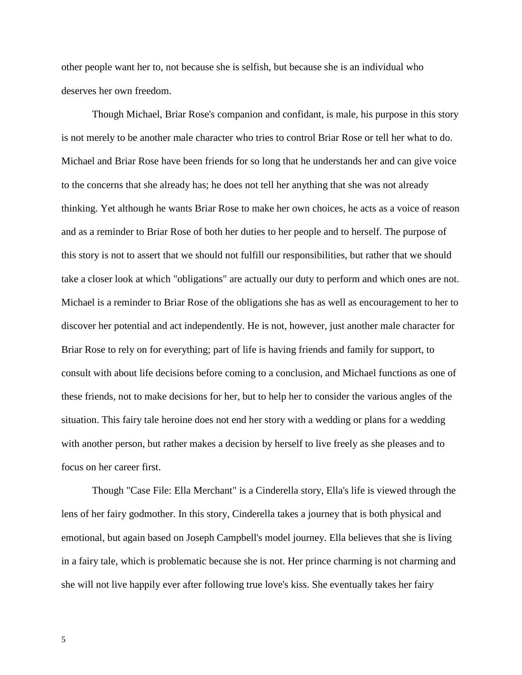other people want her to, not because she is selfish, but because she is an individual who deserves her own freedom.

Though Michael, Briar Rose's companion and confidant, is male, his purpose in this story is not merely to be another male character who tries to control Briar Rose or tell her what to do. Michael and Briar Rose have been friends for so long that he understands her and can give voice to the concerns that she already has; he does not tell her anything that she was not already thinking. Yet although he wants Briar Rose to make her own choices, he acts as a voice of reason and as a reminder to Briar Rose of both her duties to her people and to herself. The purpose of this story is not to assert that we should not fulfill our responsibilities, but rather that we should take a closer look at which "obligations" are actually our duty to perform and which ones are not. Michael is a reminder to Briar Rose of the obligations she has as well as encouragement to her to discover her potential and act independently. He is not, however, just another male character for Briar Rose to rely on for everything; part of life is having friends and family for support, to consult with about life decisions before coming to a conclusion, and Michael functions as one of these friends, not to make decisions for her, but to help her to consider the various angles of the situation. This fairy tale heroine does not end her story with a wedding or plans for a wedding with another person, but rather makes a decision by herself to live freely as she pleases and to focus on her career first.

Though "Case File: Ella Merchant" is a Cinderella story, Ella's life is viewed through the lens of her fairy godmother. In this story, Cinderella takes a journey that is both physical and emotional, but again based on Joseph Campbell's model journey. Ella believes that she is living in a fairy tale, which is problematic because she is not. Her prince charming is not charming and she will not live happily ever after following true love's kiss. She eventually takes her fairy

5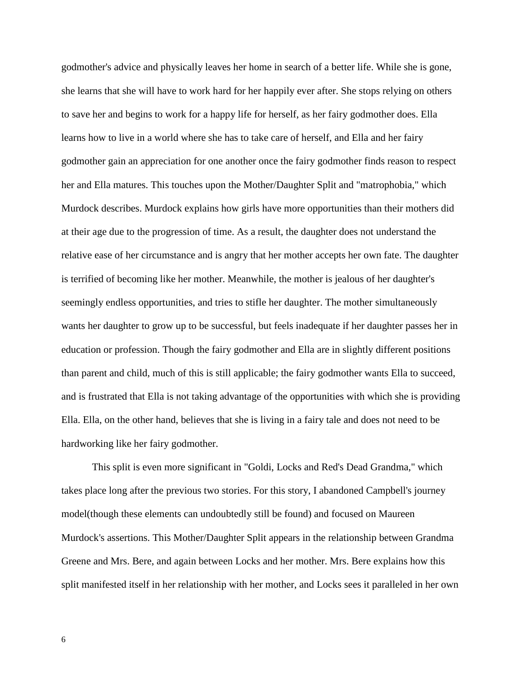godmother's advice and physically leaves her home in search of a better life. While she is gone, she learns that she will have to work hard for her happily ever after. She stops relying on others to save her and begins to work for a happy life for herself, as her fairy godmother does. Ella learns how to live in a world where she has to take care of herself, and Ella and her fairy godmother gain an appreciation for one another once the fairy godmother finds reason to respect her and Ella matures. This touches upon the Mother/Daughter Split and "matrophobia," which Murdock describes. Murdock explains how girls have more opportunities than their mothers did at their age due to the progression of time. As a result, the daughter does not understand the relative ease of her circumstance and is angry that her mother accepts her own fate. The daughter is terrified of becoming like her mother. Meanwhile, the mother is jealous of her daughter's seemingly endless opportunities, and tries to stifle her daughter. The mother simultaneously wants her daughter to grow up to be successful, but feels inadequate if her daughter passes her in education or profession. Though the fairy godmother and Ella are in slightly different positions than parent and child, much of this is still applicable; the fairy godmother wants Ella to succeed, and is frustrated that Ella is not taking advantage of the opportunities with which she is providing Ella. Ella, on the other hand, believes that she is living in a fairy tale and does not need to be hardworking like her fairy godmother.

This split is even more significant in "Goldi, Locks and Red's Dead Grandma," which takes place long after the previous two stories. For this story, I abandoned Campbell's journey model(though these elements can undoubtedly still be found) and focused on Maureen Murdock's assertions. This Mother/Daughter Split appears in the relationship between Grandma Greene and Mrs. Bere, and again between Locks and her mother. Mrs. Bere explains how this split manifested itself in her relationship with her mother, and Locks sees it paralleled in her own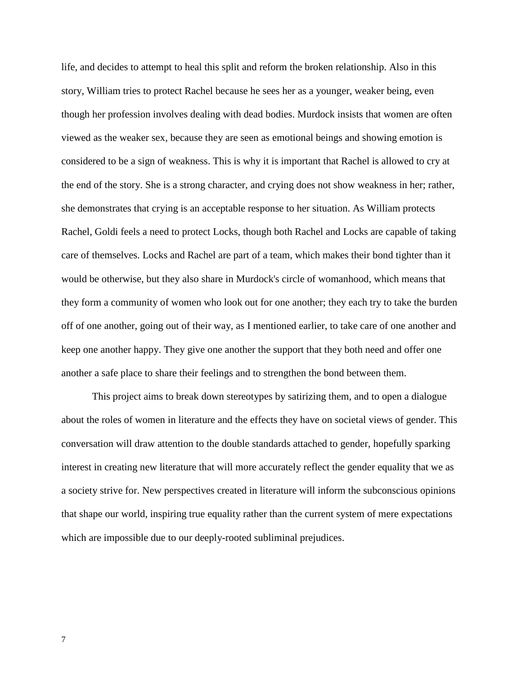life, and decides to attempt to heal this split and reform the broken relationship. Also in this story, William tries to protect Rachel because he sees her as a younger, weaker being, even though her profession involves dealing with dead bodies. Murdock insists that women are often viewed as the weaker sex, because they are seen as emotional beings and showing emotion is considered to be a sign of weakness. This is why it is important that Rachel is allowed to cry at the end of the story. She is a strong character, and crying does not show weakness in her; rather, she demonstrates that crying is an acceptable response to her situation. As William protects Rachel, Goldi feels a need to protect Locks, though both Rachel and Locks are capable of taking care of themselves. Locks and Rachel are part of a team, which makes their bond tighter than it would be otherwise, but they also share in Murdock's circle of womanhood, which means that they form a community of women who look out for one another; they each try to take the burden off of one another, going out of their way, as I mentioned earlier, to take care of one another and keep one another happy. They give one another the support that they both need and offer one another a safe place to share their feelings and to strengthen the bond between them.

This project aims to break down stereotypes by satirizing them, and to open a dialogue about the roles of women in literature and the effects they have on societal views of gender. This conversation will draw attention to the double standards attached to gender, hopefully sparking interest in creating new literature that will more accurately reflect the gender equality that we as a society strive for. New perspectives created in literature will inform the subconscious opinions that shape our world, inspiring true equality rather than the current system of mere expectations which are impossible due to our deeply-rooted subliminal prejudices.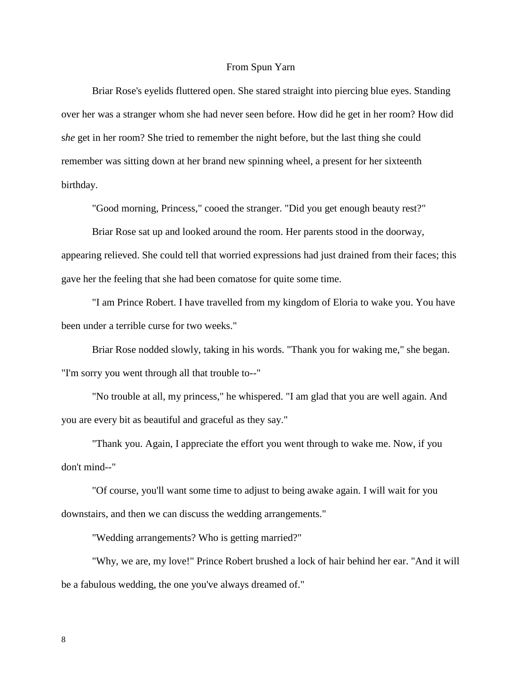### From Spun Yarn

Briar Rose's eyelids fluttered open. She stared straight into piercing blue eyes. Standing over her was a stranger whom she had never seen before. How did he get in her room? How did s*he* get in her room? She tried to remember the night before, but the last thing she could remember was sitting down at her brand new spinning wheel, a present for her sixteenth birthday.

"Good morning, Princess," cooed the stranger. "Did you get enough beauty rest?"

Briar Rose sat up and looked around the room. Her parents stood in the doorway, appearing relieved. She could tell that worried expressions had just drained from their faces; this gave her the feeling that she had been comatose for quite some time.

"I am Prince Robert. I have travelled from my kingdom of Eloria to wake you. You have been under a terrible curse for two weeks."

Briar Rose nodded slowly, taking in his words. "Thank you for waking me," she began. "I'm sorry you went through all that trouble to--"

"No trouble at all, my princess," he whispered. "I am glad that you are well again. And you are every bit as beautiful and graceful as they say."

"Thank you. Again, I appreciate the effort you went through to wake me. Now, if you don't mind--"

"Of course, you'll want some time to adjust to being awake again. I will wait for you downstairs, and then we can discuss the wedding arrangements."

"Wedding arrangements? Who is getting married?"

"Why, we are, my love!" Prince Robert brushed a lock of hair behind her ear. "And it will be a fabulous wedding, the one you've always dreamed of."

8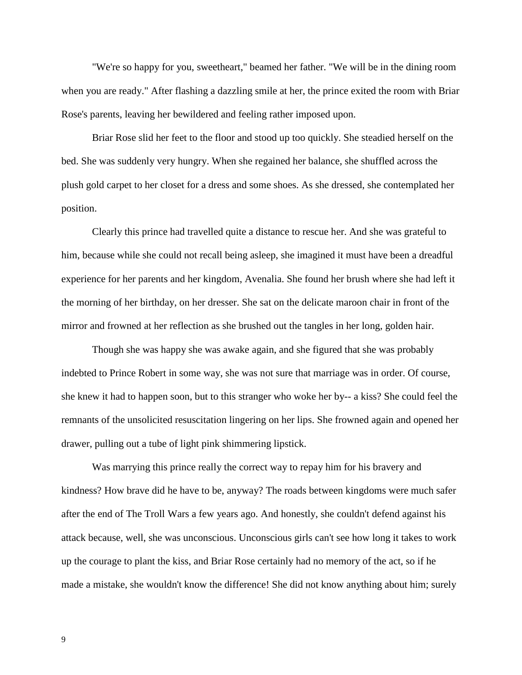"We're so happy for you, sweetheart," beamed her father. "We will be in the dining room when you are ready." After flashing a dazzling smile at her, the prince exited the room with Briar Rose's parents, leaving her bewildered and feeling rather imposed upon.

Briar Rose slid her feet to the floor and stood up too quickly. She steadied herself on the bed. She was suddenly very hungry. When she regained her balance, she shuffled across the plush gold carpet to her closet for a dress and some shoes. As she dressed, she contemplated her position.

Clearly this prince had travelled quite a distance to rescue her. And she was grateful to him, because while she could not recall being asleep, she imagined it must have been a dreadful experience for her parents and her kingdom, Avenalia. She found her brush where she had left it the morning of her birthday, on her dresser. She sat on the delicate maroon chair in front of the mirror and frowned at her reflection as she brushed out the tangles in her long, golden hair.

Though she was happy she was awake again, and she figured that she was probably indebted to Prince Robert in some way, she was not sure that marriage was in order. Of course, she knew it had to happen soon, but to this stranger who woke her by-- a kiss? She could feel the remnants of the unsolicited resuscitation lingering on her lips. She frowned again and opened her drawer, pulling out a tube of light pink shimmering lipstick.

Was marrying this prince really the correct way to repay him for his bravery and kindness? How brave did he have to be, anyway? The roads between kingdoms were much safer after the end of The Troll Wars a few years ago. And honestly, she couldn't defend against his attack because, well, she was unconscious. Unconscious girls can't see how long it takes to work up the courage to plant the kiss, and Briar Rose certainly had no memory of the act, so if he made a mistake, she wouldn't know the difference! She did not know anything about him; surely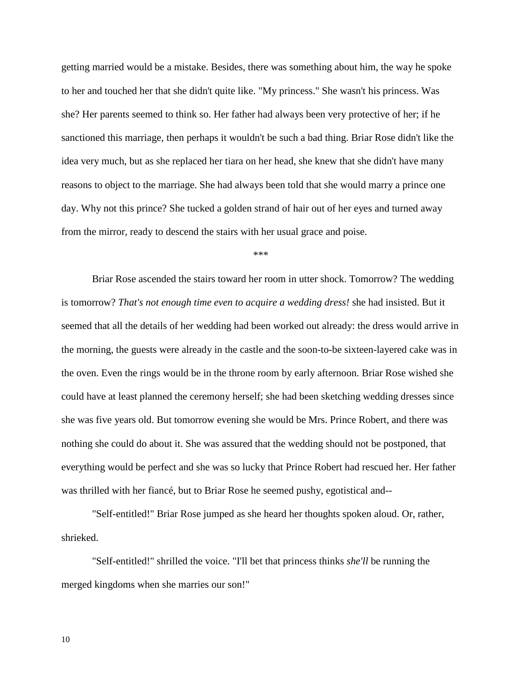getting married would be a mistake. Besides, there was something about him, the way he spoke to her and touched her that she didn't quite like. "My princess." She wasn't his princess. Was she? Her parents seemed to think so. Her father had always been very protective of her; if he sanctioned this marriage, then perhaps it wouldn't be such a bad thing. Briar Rose didn't like the idea very much, but as she replaced her tiara on her head, she knew that she didn't have many reasons to object to the marriage. She had always been told that she would marry a prince one day. Why not this prince? She tucked a golden strand of hair out of her eyes and turned away from the mirror, ready to descend the stairs with her usual grace and poise.

\*\*\*

Briar Rose ascended the stairs toward her room in utter shock. Tomorrow? The wedding is tomorrow? *That's not enough time even to acquire a wedding dress!* she had insisted. But it seemed that all the details of her wedding had been worked out already: the dress would arrive in the morning, the guests were already in the castle and the soon-to-be sixteen-layered cake was in the oven. Even the rings would be in the throne room by early afternoon. Briar Rose wished she could have at least planned the ceremony herself; she had been sketching wedding dresses since she was five years old. But tomorrow evening she would be Mrs. Prince Robert, and there was nothing she could do about it. She was assured that the wedding should not be postponed, that everything would be perfect and she was so lucky that Prince Robert had rescued her. Her father was thrilled with her fiancé, but to Briar Rose he seemed pushy, egotistical and--

"Self-entitled!" Briar Rose jumped as she heard her thoughts spoken aloud. Or, rather, shrieked.

"Self-entitled!" shrilled the voice. "I'll bet that princess thinks *she'll* be running the merged kingdoms when she marries our son!"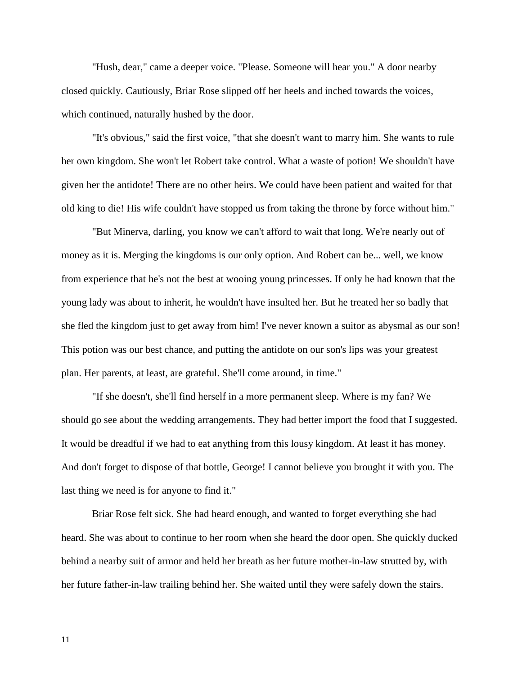"Hush, dear," came a deeper voice. "Please. Someone will hear you." A door nearby closed quickly. Cautiously, Briar Rose slipped off her heels and inched towards the voices, which continued, naturally hushed by the door.

"It's obvious," said the first voice, "that she doesn't want to marry him. She wants to rule her own kingdom. She won't let Robert take control. What a waste of potion! We shouldn't have given her the antidote! There are no other heirs. We could have been patient and waited for that old king to die! His wife couldn't have stopped us from taking the throne by force without him."

"But Minerva, darling, you know we can't afford to wait that long. We're nearly out of money as it is. Merging the kingdoms is our only option. And Robert can be... well, we know from experience that he's not the best at wooing young princesses. If only he had known that the young lady was about to inherit, he wouldn't have insulted her. But he treated her so badly that she fled the kingdom just to get away from him! I've never known a suitor as abysmal as our son! This potion was our best chance, and putting the antidote on our son's lips was your greatest plan. Her parents, at least, are grateful. She'll come around, in time."

"If she doesn't, she'll find herself in a more permanent sleep. Where is my fan? We should go see about the wedding arrangements. They had better import the food that I suggested. It would be dreadful if we had to eat anything from this lousy kingdom. At least it has money. And don't forget to dispose of that bottle, George! I cannot believe you brought it with you. The last thing we need is for anyone to find it."

Briar Rose felt sick. She had heard enough, and wanted to forget everything she had heard. She was about to continue to her room when she heard the door open. She quickly ducked behind a nearby suit of armor and held her breath as her future mother-in-law strutted by, with her future father-in-law trailing behind her. She waited until they were safely down the stairs.

11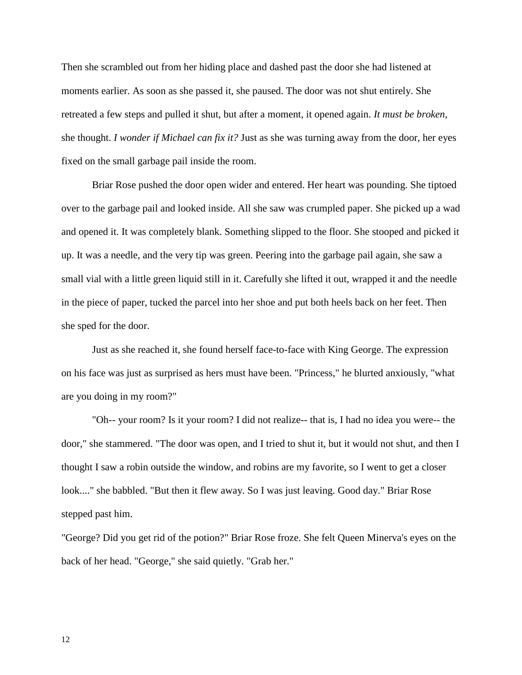Then she scrambled out from her hiding place and dashed past the door she had listened at moments earlier. As soon as she passed it, she paused. The door was not shut entirely. She retreated a few steps and pulled it shut, but after a moment, it opened again. *It must be broken*, she thought. *I wonder if Michael can fix it?* Just as she was turning away from the door, her eyes fixed on the small garbage pail inside the room.

Briar Rose pushed the door open wider and entered. Her heart was pounding. She tiptoed over to the garbage pail and looked inside. All she saw was crumpled paper. She picked up a wad and opened it. It was completely blank. Something slipped to the floor. She stooped and picked it up. It was a needle, and the very tip was green. Peering into the garbage pail again, she saw a small vial with a little green liquid still in it. Carefully she lifted it out, wrapped it and the needle in the piece of paper, tucked the parcel into her shoe and put both heels back on her feet. Then she sped for the door.

Just as she reached it, she found herself face-to-face with King George. The expression on his face was just as surprised as hers must have been. "Princess," he blurted anxiously, "what are you doing in my room?"

"Oh-- your room? Is it your room? I did not realize-- that is, I had no idea you were-- the door," she stammered. "The door was open, and I tried to shut it, but it would not shut, and then I thought I saw a robin outside the window, and robins are my favorite, so I went to get a closer look...." she babbled. "But then it flew away. So I was just leaving. Good day." Briar Rose stepped past him.

"George? Did you get rid of the potion?" Briar Rose froze. She felt Queen Minerva's eyes on the back of her head. "George," she said quietly. "Grab her."

12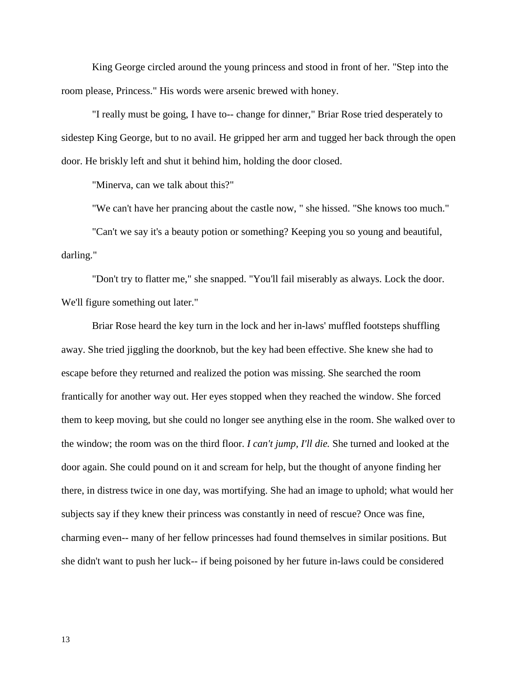King George circled around the young princess and stood in front of her. "Step into the room please, Princess." His words were arsenic brewed with honey.

"I really must be going, I have to-- change for dinner," Briar Rose tried desperately to sidestep King George, but to no avail. He gripped her arm and tugged her back through the open door. He briskly left and shut it behind him, holding the door closed.

"Minerva, can we talk about this?"

"We can't have her prancing about the castle now, " she hissed. "She knows too much."

"Can't we say it's a beauty potion or something? Keeping you so young and beautiful, darling."

"Don't try to flatter me," she snapped. "You'll fail miserably as always. Lock the door. We'll figure something out later."

Briar Rose heard the key turn in the lock and her in-laws' muffled footsteps shuffling away. She tried jiggling the doorknob, but the key had been effective. She knew she had to escape before they returned and realized the potion was missing. She searched the room frantically for another way out. Her eyes stopped when they reached the window. She forced them to keep moving, but she could no longer see anything else in the room. She walked over to the window; the room was on the third floor. *I can't jump, I'll die.* She turned and looked at the door again. She could pound on it and scream for help, but the thought of anyone finding her there, in distress twice in one day, was mortifying. She had an image to uphold; what would her subjects say if they knew their princess was constantly in need of rescue? Once was fine, charming even-- many of her fellow princesses had found themselves in similar positions. But she didn't want to push her luck-- if being poisoned by her future in-laws could be considered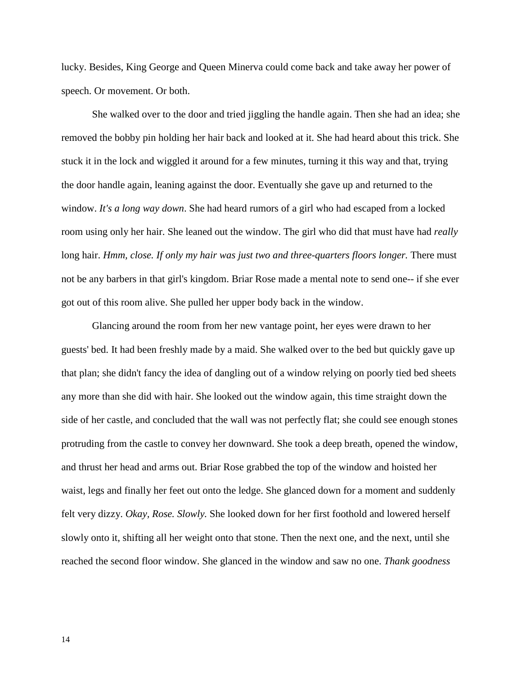lucky. Besides, King George and Queen Minerva could come back and take away her power of speech. Or movement. Or both.

She walked over to the door and tried jiggling the handle again. Then she had an idea; she removed the bobby pin holding her hair back and looked at it. She had heard about this trick. She stuck it in the lock and wiggled it around for a few minutes, turning it this way and that, trying the door handle again, leaning against the door. Eventually she gave up and returned to the window. *It's a long way down*. She had heard rumors of a girl who had escaped from a locked room using only her hair. She leaned out the window. The girl who did that must have had *really* long hair. *Hmm, close. If only my hair was just two and three-quarters floors longer.* There must not be any barbers in that girl's kingdom. Briar Rose made a mental note to send one-- if she ever got out of this room alive. She pulled her upper body back in the window.

Glancing around the room from her new vantage point, her eyes were drawn to her guests' bed. It had been freshly made by a maid. She walked over to the bed but quickly gave up that plan; she didn't fancy the idea of dangling out of a window relying on poorly tied bed sheets any more than she did with hair. She looked out the window again, this time straight down the side of her castle, and concluded that the wall was not perfectly flat; she could see enough stones protruding from the castle to convey her downward. She took a deep breath, opened the window, and thrust her head and arms out. Briar Rose grabbed the top of the window and hoisted her waist, legs and finally her feet out onto the ledge. She glanced down for a moment and suddenly felt very dizzy. *Okay, Rose. Slowly.* She looked down for her first foothold and lowered herself slowly onto it, shifting all her weight onto that stone. Then the next one, and the next, until she reached the second floor window. She glanced in the window and saw no one. *Thank goodness*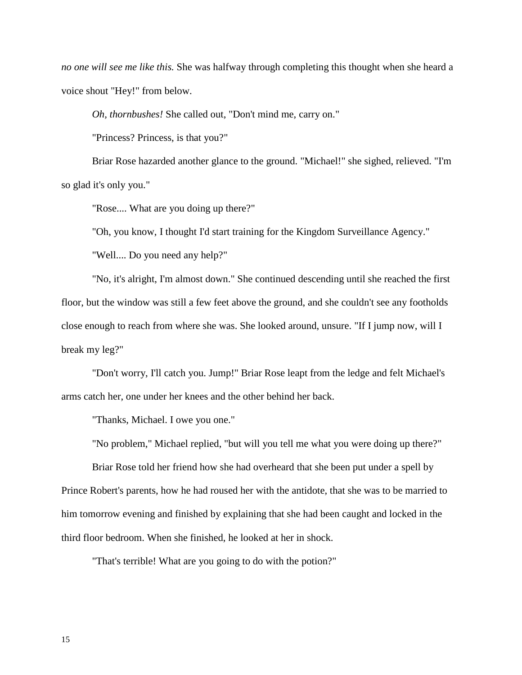*no one will see me like this.* She was halfway through completing this thought when she heard a voice shout "Hey!" from below.

*Oh, thornbushes!* She called out, "Don't mind me, carry on."

"Princess? Princess, is that you?"

Briar Rose hazarded another glance to the ground. "Michael!" she sighed, relieved. "I'm so glad it's only you."

"Rose.... What are you doing up there?"

"Oh, you know, I thought I'd start training for the Kingdom Surveillance Agency."

"Well.... Do you need any help?"

"No, it's alright, I'm almost down." She continued descending until she reached the first floor, but the window was still a few feet above the ground, and she couldn't see any footholds close enough to reach from where she was. She looked around, unsure. "If I jump now, will I break my leg?"

"Don't worry, I'll catch you. Jump!" Briar Rose leapt from the ledge and felt Michael's arms catch her, one under her knees and the other behind her back.

"Thanks, Michael. I owe you one."

"No problem," Michael replied, "but will you tell me what you were doing up there?"

Briar Rose told her friend how she had overheard that she been put under a spell by Prince Robert's parents, how he had roused her with the antidote, that she was to be married to him tomorrow evening and finished by explaining that she had been caught and locked in the third floor bedroom. When she finished, he looked at her in shock.

"That's terrible! What are you going to do with the potion?"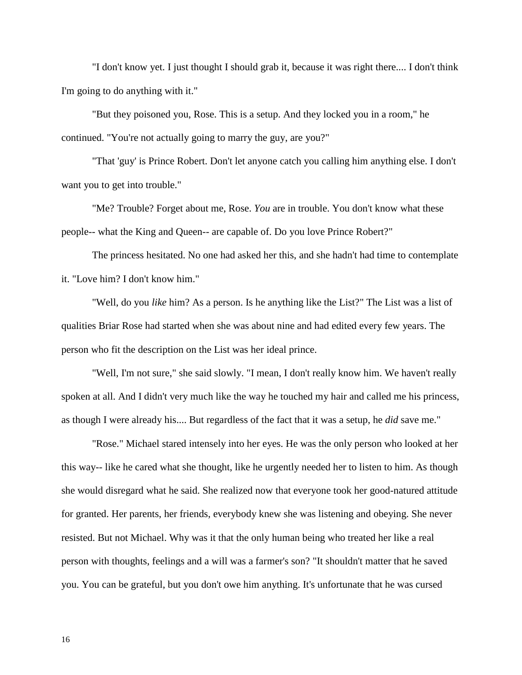"I don't know yet. I just thought I should grab it, because it was right there.... I don't think I'm going to do anything with it."

"But they poisoned you, Rose. This is a setup. And they locked you in a room," he continued. "You're not actually going to marry the guy, are you?"

"That 'guy' is Prince Robert. Don't let anyone catch you calling him anything else. I don't want you to get into trouble."

"Me? Trouble? Forget about me, Rose. *You* are in trouble. You don't know what these people-- what the King and Queen-- are capable of. Do you love Prince Robert?"

The princess hesitated. No one had asked her this, and she hadn't had time to contemplate it. "Love him? I don't know him."

"Well, do you *like* him? As a person. Is he anything like the List?" The List was a list of qualities Briar Rose had started when she was about nine and had edited every few years. The person who fit the description on the List was her ideal prince.

"Well, I'm not sure," she said slowly. "I mean, I don't really know him. We haven't really spoken at all. And I didn't very much like the way he touched my hair and called me his princess, as though I were already his.... But regardless of the fact that it was a setup, he *did* save me."

"Rose." Michael stared intensely into her eyes. He was the only person who looked at her this way-- like he cared what she thought, like he urgently needed her to listen to him. As though she would disregard what he said. She realized now that everyone took her good-natured attitude for granted. Her parents, her friends, everybody knew she was listening and obeying. She never resisted. But not Michael. Why was it that the only human being who treated her like a real person with thoughts, feelings and a will was a farmer's son? "It shouldn't matter that he saved you. You can be grateful, but you don't owe him anything. It's unfortunate that he was cursed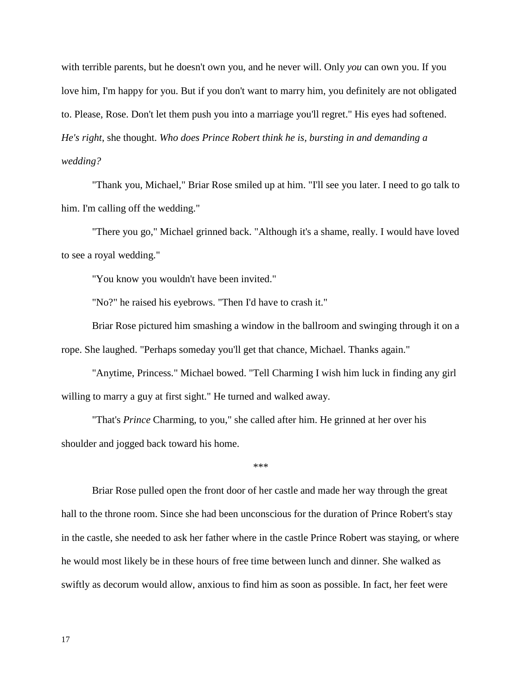with terrible parents, but he doesn't own you, and he never will. Only *you* can own you. If you love him, I'm happy for you. But if you don't want to marry him, you definitely are not obligated to. Please, Rose. Don't let them push you into a marriage you'll regret." His eyes had softened. *He's right*, she thought. *Who does Prince Robert think he is, bursting in and demanding a wedding?*

"Thank you, Michael," Briar Rose smiled up at him. "I'll see you later. I need to go talk to him. I'm calling off the wedding."

"There you go," Michael grinned back. "Although it's a shame, really. I would have loved to see a royal wedding."

"You know you wouldn't have been invited."

"No?" he raised his eyebrows. "Then I'd have to crash it."

Briar Rose pictured him smashing a window in the ballroom and swinging through it on a rope. She laughed. "Perhaps someday you'll get that chance, Michael. Thanks again."

"Anytime, Princess." Michael bowed. "Tell Charming I wish him luck in finding any girl willing to marry a guy at first sight." He turned and walked away.

"That's *Prince* Charming, to you," she called after him. He grinned at her over his shoulder and jogged back toward his home.

\*\*\*

Briar Rose pulled open the front door of her castle and made her way through the great hall to the throne room. Since she had been unconscious for the duration of Prince Robert's stay in the castle, she needed to ask her father where in the castle Prince Robert was staying, or where he would most likely be in these hours of free time between lunch and dinner. She walked as swiftly as decorum would allow, anxious to find him as soon as possible. In fact, her feet were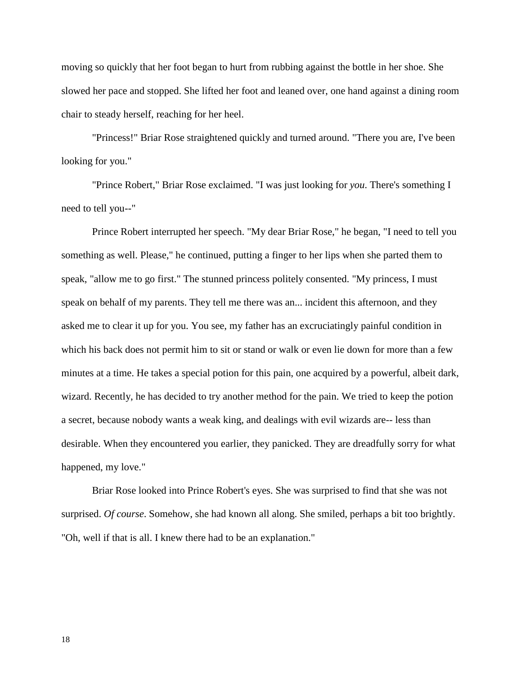moving so quickly that her foot began to hurt from rubbing against the bottle in her shoe. She slowed her pace and stopped. She lifted her foot and leaned over, one hand against a dining room chair to steady herself, reaching for her heel.

"Princess!" Briar Rose straightened quickly and turned around. "There you are, I've been looking for you."

"Prince Robert," Briar Rose exclaimed. "I was just looking for *you*. There's something I need to tell you--"

Prince Robert interrupted her speech. "My dear Briar Rose," he began, "I need to tell you something as well. Please," he continued, putting a finger to her lips when she parted them to speak, "allow me to go first." The stunned princess politely consented. "My princess, I must speak on behalf of my parents. They tell me there was an... incident this afternoon, and they asked me to clear it up for you. You see, my father has an excruciatingly painful condition in which his back does not permit him to sit or stand or walk or even lie down for more than a few minutes at a time. He takes a special potion for this pain, one acquired by a powerful, albeit dark, wizard. Recently, he has decided to try another method for the pain. We tried to keep the potion a secret, because nobody wants a weak king, and dealings with evil wizards are-- less than desirable. When they encountered you earlier, they panicked. They are dreadfully sorry for what happened, my love."

Briar Rose looked into Prince Robert's eyes. She was surprised to find that she was not surprised. *Of course*. Somehow, she had known all along. She smiled, perhaps a bit too brightly. "Oh, well if that is all. I knew there had to be an explanation."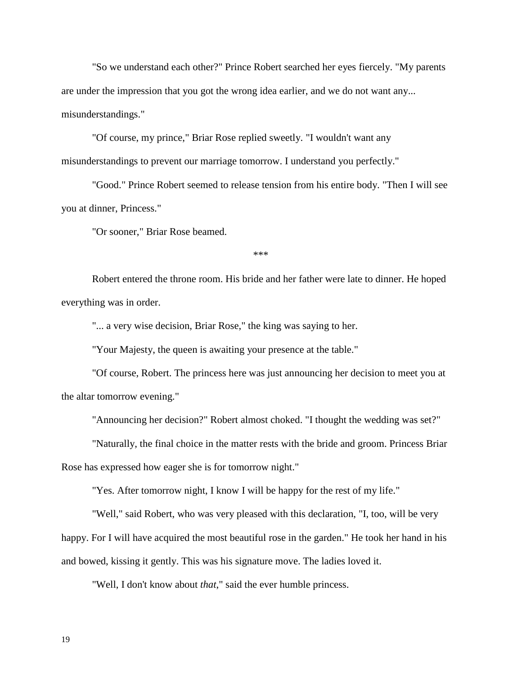"So we understand each other?" Prince Robert searched her eyes fiercely. "My parents are under the impression that you got the wrong idea earlier, and we do not want any... misunderstandings."

"Of course, my prince," Briar Rose replied sweetly. "I wouldn't want any misunderstandings to prevent our marriage tomorrow. I understand you perfectly."

"Good." Prince Robert seemed to release tension from his entire body. "Then I will see you at dinner, Princess."

"Or sooner," Briar Rose beamed.

\*\*\*

Robert entered the throne room. His bride and her father were late to dinner. He hoped everything was in order.

"... a very wise decision, Briar Rose," the king was saying to her.

"Your Majesty, the queen is awaiting your presence at the table."

"Of course, Robert. The princess here was just announcing her decision to meet you at the altar tomorrow evening."

"Announcing her decision?" Robert almost choked. "I thought the wedding was set?"

"Naturally, the final choice in the matter rests with the bride and groom. Princess Briar

Rose has expressed how eager she is for tomorrow night."

"Yes. After tomorrow night, I know I will be happy for the rest of my life."

"Well," said Robert, who was very pleased with this declaration, "I, too, will be very happy. For I will have acquired the most beautiful rose in the garden." He took her hand in his and bowed, kissing it gently. This was his signature move. The ladies loved it.

"Well, I don't know about *that*," said the ever humble princess.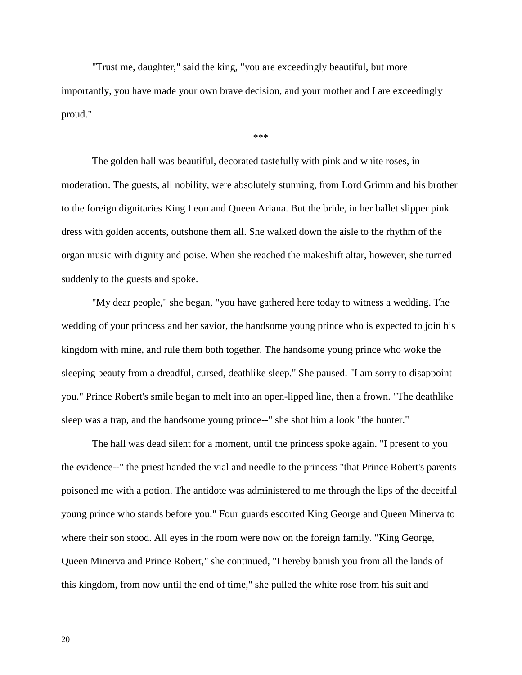"Trust me, daughter," said the king, "you are exceedingly beautiful, but more importantly, you have made your own brave decision, and your mother and I are exceedingly proud."

#### \*\*\*

The golden hall was beautiful, decorated tastefully with pink and white roses, in moderation. The guests, all nobility, were absolutely stunning, from Lord Grimm and his brother to the foreign dignitaries King Leon and Queen Ariana. But the bride, in her ballet slipper pink dress with golden accents, outshone them all. She walked down the aisle to the rhythm of the organ music with dignity and poise. When she reached the makeshift altar, however, she turned suddenly to the guests and spoke.

"My dear people," she began, "you have gathered here today to witness a wedding. The wedding of your princess and her savior, the handsome young prince who is expected to join his kingdom with mine, and rule them both together. The handsome young prince who woke the sleeping beauty from a dreadful, cursed, deathlike sleep." She paused. "I am sorry to disappoint you." Prince Robert's smile began to melt into an open-lipped line, then a frown. "The deathlike sleep was a trap, and the handsome young prince--" she shot him a look "the hunter."

The hall was dead silent for a moment, until the princess spoke again. "I present to you the evidence--" the priest handed the vial and needle to the princess "that Prince Robert's parents poisoned me with a potion. The antidote was administered to me through the lips of the deceitful young prince who stands before you." Four guards escorted King George and Queen Minerva to where their son stood. All eyes in the room were now on the foreign family. "King George, Queen Minerva and Prince Robert," she continued, "I hereby banish you from all the lands of this kingdom, from now until the end of time," she pulled the white rose from his suit and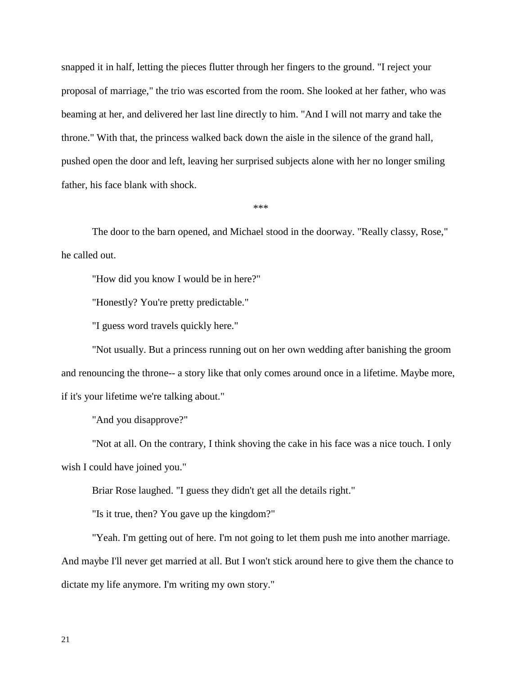snapped it in half, letting the pieces flutter through her fingers to the ground. "I reject your proposal of marriage," the trio was escorted from the room. She looked at her father, who was beaming at her, and delivered her last line directly to him. "And I will not marry and take the throne." With that, the princess walked back down the aisle in the silence of the grand hall, pushed open the door and left, leaving her surprised subjects alone with her no longer smiling father, his face blank with shock.

\*\*\*

The door to the barn opened, and Michael stood in the doorway. "Really classy, Rose," he called out.

"How did you know I would be in here?"

"Honestly? You're pretty predictable."

"I guess word travels quickly here."

"Not usually. But a princess running out on her own wedding after banishing the groom and renouncing the throne-- a story like that only comes around once in a lifetime. Maybe more, if it's your lifetime we're talking about."

"And you disapprove?"

"Not at all. On the contrary, I think shoving the cake in his face was a nice touch. I only wish I could have joined you."

Briar Rose laughed. "I guess they didn't get all the details right."

"Is it true, then? You gave up the kingdom?"

"Yeah. I'm getting out of here. I'm not going to let them push me into another marriage. And maybe I'll never get married at all. But I won't stick around here to give them the chance to dictate my life anymore. I'm writing my own story."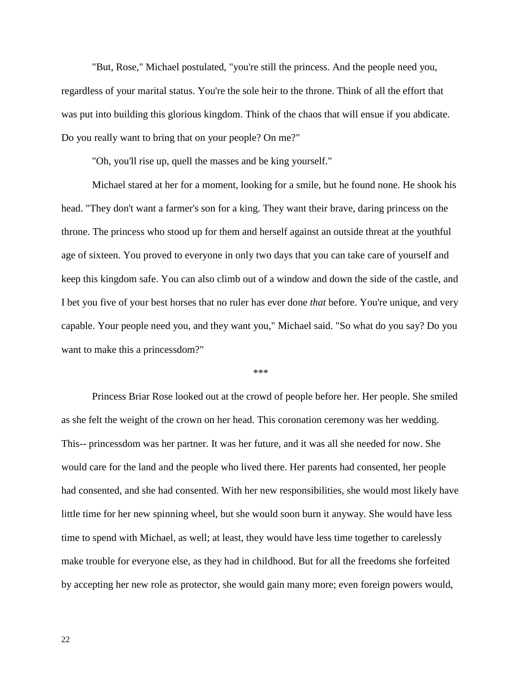"But, Rose," Michael postulated, "you're still the princess. And the people need you, regardless of your marital status. You're the sole heir to the throne. Think of all the effort that was put into building this glorious kingdom. Think of the chaos that will ensue if you abdicate. Do you really want to bring that on your people? On me?"

"Oh, you'll rise up, quell the masses and be king yourself."

Michael stared at her for a moment, looking for a smile, but he found none. He shook his head. "They don't want a farmer's son for a king. They want their brave, daring princess on the throne. The princess who stood up for them and herself against an outside threat at the youthful age of sixteen. You proved to everyone in only two days that you can take care of yourself and keep this kingdom safe. You can also climb out of a window and down the side of the castle, and I bet you five of your best horses that no ruler has ever done *that* before. You're unique, and very capable. Your people need you, and they want you," Michael said. "So what do you say? Do you want to make this a princessdom?"

\*\*\*

Princess Briar Rose looked out at the crowd of people before her. Her people. She smiled as she felt the weight of the crown on her head. This coronation ceremony was her wedding. This-- princessdom was her partner. It was her future, and it was all she needed for now. She would care for the land and the people who lived there. Her parents had consented, her people had consented, and she had consented. With her new responsibilities, she would most likely have little time for her new spinning wheel, but she would soon burn it anyway. She would have less time to spend with Michael, as well; at least, they would have less time together to carelessly make trouble for everyone else, as they had in childhood. But for all the freedoms she forfeited by accepting her new role as protector, she would gain many more; even foreign powers would,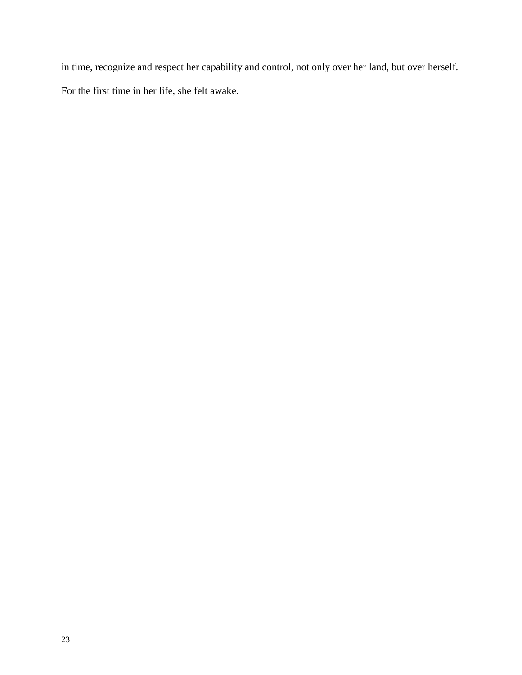in time, recognize and respect her capability and control, not only over her land, but over herself. For the first time in her life, she felt awake.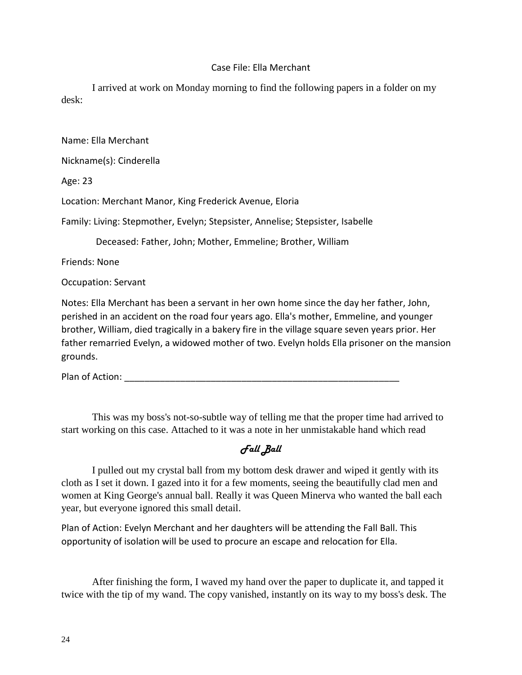## Case File: Ella Merchant

I arrived at work on Monday morning to find the following papers in a folder on my desk:

Name: Ella Merchant Nickname(s): Cinderella Age: 23 Location: Merchant Manor, King Frederick Avenue, Eloria Family: Living: Stepmother, Evelyn; Stepsister, Annelise; Stepsister, Isabelle Deceased: Father, John; Mother, Emmeline; Brother, William Friends: None Occupation: Servant Notes: Ella Merchant has been a servant in her own home since the day her father, John,

perished in an accident on the road four years ago. Ella's mother, Emmeline, and younger brother, William, died tragically in a bakery fire in the village square seven years prior. Her father remarried Evelyn, a widowed mother of two. Evelyn holds Ella prisoner on the mansion grounds.

Plan of Action: \_\_\_\_\_\_\_\_\_\_\_\_\_\_\_\_\_\_\_\_\_\_\_\_\_\_\_\_\_\_\_\_\_\_\_\_\_\_\_\_\_\_\_\_\_\_\_\_\_\_\_\_\_\_

This was my boss's not-so-subtle way of telling me that the proper time had arrived to start working on this case. Attached to it was a note in her unmistakable hand which read

# Fall Ball

I pulled out my crystal ball from my bottom desk drawer and wiped it gently with its cloth as I set it down. I gazed into it for a few moments, seeing the beautifully clad men and women at King George's annual ball. Really it was Queen Minerva who wanted the ball each year, but everyone ignored this small detail.

Plan of Action: Evelyn Merchant and her daughters will be attending the Fall Ball. This opportunity of isolation will be used to procure an escape and relocation for Ella.

After finishing the form, I waved my hand over the paper to duplicate it, and tapped it twice with the tip of my wand. The copy vanished, instantly on its way to my boss's desk. The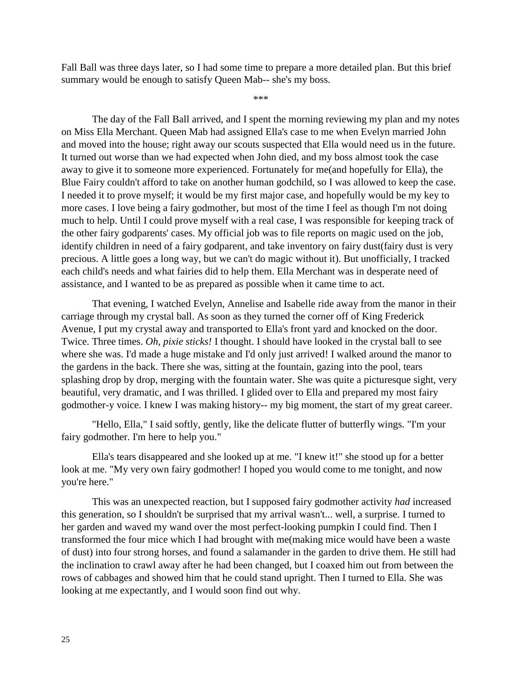Fall Ball was three days later, so I had some time to prepare a more detailed plan. But this brief summary would be enough to satisfy Queen Mab-- she's my boss.

\*\*\*

The day of the Fall Ball arrived, and I spent the morning reviewing my plan and my notes on Miss Ella Merchant. Queen Mab had assigned Ella's case to me when Evelyn married John and moved into the house; right away our scouts suspected that Ella would need us in the future. It turned out worse than we had expected when John died, and my boss almost took the case away to give it to someone more experienced. Fortunately for me(and hopefully for Ella), the Blue Fairy couldn't afford to take on another human godchild, so I was allowed to keep the case. I needed it to prove myself; it would be my first major case, and hopefully would be my key to more cases. I love being a fairy godmother, but most of the time I feel as though I'm not doing much to help. Until I could prove myself with a real case, I was responsible for keeping track of the other fairy godparents' cases. My official job was to file reports on magic used on the job, identify children in need of a fairy godparent, and take inventory on fairy dust(fairy dust is very precious. A little goes a long way, but we can't do magic without it). But unofficially, I tracked each child's needs and what fairies did to help them. Ella Merchant was in desperate need of assistance, and I wanted to be as prepared as possible when it came time to act.

That evening, I watched Evelyn, Annelise and Isabelle ride away from the manor in their carriage through my crystal ball. As soon as they turned the corner off of King Frederick Avenue, I put my crystal away and transported to Ella's front yard and knocked on the door. Twice. Three times. *Oh, pixie sticks!* I thought. I should have looked in the crystal ball to see where she was. I'd made a huge mistake and I'd only just arrived! I walked around the manor to the gardens in the back. There she was, sitting at the fountain, gazing into the pool, tears splashing drop by drop, merging with the fountain water. She was quite a picturesque sight, very beautiful, very dramatic, and I was thrilled. I glided over to Ella and prepared my most fairy godmother-y voice. I knew I was making history-- my big moment, the start of my great career.

"Hello, Ella," I said softly, gently, like the delicate flutter of butterfly wings. "I'm your fairy godmother. I'm here to help you."

Ella's tears disappeared and she looked up at me. "I knew it!" she stood up for a better look at me. "My very own fairy godmother! I hoped you would come to me tonight, and now you're here."

This was an unexpected reaction, but I supposed fairy godmother activity *had* increased this generation, so I shouldn't be surprised that my arrival wasn't... well, a surprise. I turned to her garden and waved my wand over the most perfect-looking pumpkin I could find. Then I transformed the four mice which I had brought with me(making mice would have been a waste of dust) into four strong horses, and found a salamander in the garden to drive them. He still had the inclination to crawl away after he had been changed, but I coaxed him out from between the rows of cabbages and showed him that he could stand upright. Then I turned to Ella. She was looking at me expectantly, and I would soon find out why.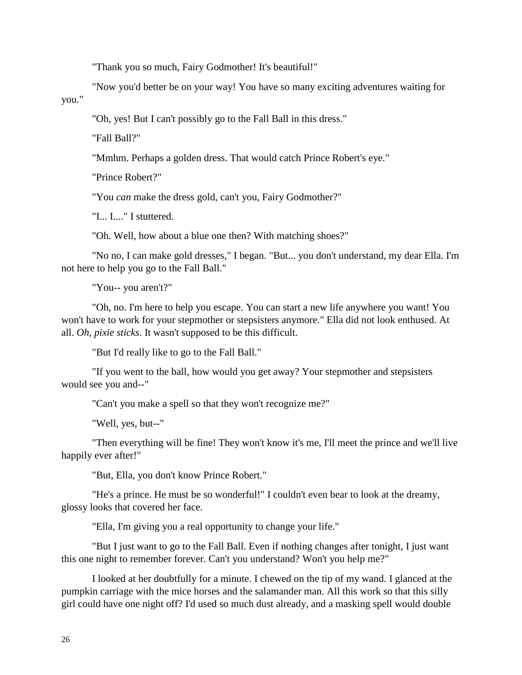"Thank you so much, Fairy Godmother! It's beautiful!"

"Now you'd better be on your way! You have so many exciting adventures waiting for you."

"Oh, yes! But I can't possibly go to the Fall Ball in this dress."

"Fall Ball?"

"Mmhm. Perhaps a golden dress. That would catch Prince Robert's eye."

"Prince Robert?"

"You *can* make the dress gold, can't you, Fairy Godmother?"

"I... I...." I stuttered.

"Oh. Well, how about a blue one then? With matching shoes?"

"No no, I can make gold dresses," I began. "But... you don't understand, my dear Ella. I'm not here to help you go to the Fall Ball."

"You-- you aren't?"

"Oh, no. I'm here to help you escape. You can start a new life anywhere you want! You won't have to work for your stepmother or stepsisters anymore." Ella did not look enthused. At all. *Oh, pixie sticks*. It wasn't supposed to be this difficult.

"But I'd really like to go to the Fall Ball."

"If you went to the ball, how would you get away? Your stepmother and stepsisters would see you and--"

"Can't you make a spell so that they won't recognize me?"

"Well, yes, but--"

"Then everything will be fine! They won't know it's me, I'll meet the prince and we'll live happily ever after!"

"But, Ella, you don't know Prince Robert."

"He's a prince. He must be so wonderful!" I couldn't even bear to look at the dreamy, glossy looks that covered her face.

"Ella, I'm giving you a real opportunity to change your life."

"But I just want to go to the Fall Ball. Even if nothing changes after tonight, I just want this one night to remember forever. Can't you understand? Won't you help me?"

I looked at her doubtfully for a minute. I chewed on the tip of my wand. I glanced at the pumpkin carriage with the mice horses and the salamander man. All this work so that this silly girl could have one night off? I'd used so much dust already, and a masking spell would double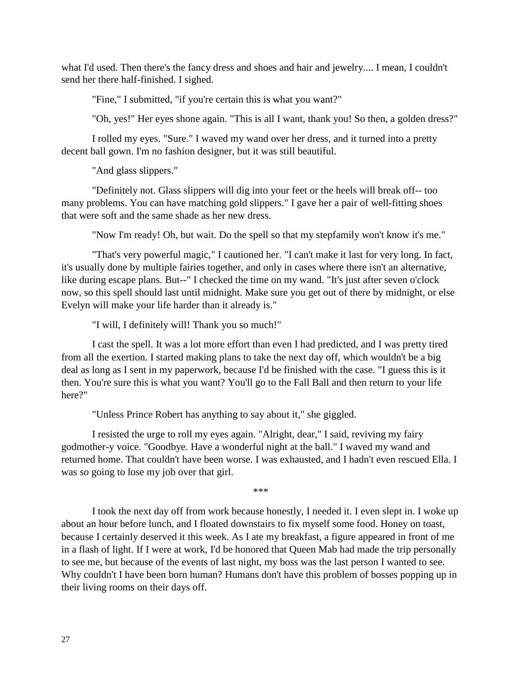what I'd used. Then there's the fancy dress and shoes and hair and jewelry.... I mean, I couldn't send her there half-finished. I sighed.

"Fine," I submitted, "if you're certain this is what you want?"

"Oh, yes!" Her eyes shone again. "This is all I want, thank you! So then, a golden dress?"

I rolled my eyes. "Sure." I waved my wand over her dress, and it turned into a pretty decent ball gown. I'm no fashion designer, but it was still beautiful.

"And glass slippers."

"Definitely not. Glass slippers will dig into your feet or the heels will break off-- too many problems. You can have matching gold slippers." I gave her a pair of well-fitting shoes that were soft and the same shade as her new dress.

"Now I'm ready! Oh, but wait. Do the spell so that my stepfamily won't know it's me."

"That's very powerful magic," I cautioned her. "I can't make it last for very long. In fact, it's usually done by multiple fairies together, and only in cases where there isn't an alternative, like during escape plans. But--" I checked the time on my wand. "It's just after seven o'clock now, so this spell should last until midnight. Make sure you get out of there by midnight, or else Evelyn will make your life harder than it already is."

"I will, I definitely will! Thank you so much!"

I cast the spell. It was a lot more effort than even I had predicted, and I was pretty tired from all the exertion. I started making plans to take the next day off, which wouldn't be a big deal as long as I sent in my paperwork, because I'd be finished with the case. "I guess this is it then. You're sure this is what you want? You'll go to the Fall Ball and then return to your life here?"

"Unless Prince Robert has anything to say about it," she giggled.

I resisted the urge to roll my eyes again. "Alright, dear," I said, reviving my fairy godmother-y voice. "Goodbye. Have a wonderful night at the ball." I waved my wand and returned home. That couldn't have been worse. I was exhausted, and I hadn't even rescued Ella. I was *so* going to lose my job over that girl.

\*\*\*

I took the next day off from work because honestly, I needed it. I even slept in. I woke up about an hour before lunch, and I floated downstairs to fix myself some food. Honey on toast, because I certainly deserved it this week. As I ate my breakfast, a figure appeared in front of me in a flash of light. If I were at work, I'd be honored that Queen Mab had made the trip personally to see me, but because of the events of last night, my boss was the last person I wanted to see. Why couldn't I have been born human? Humans don't have this problem of bosses popping up in their living rooms on their days off.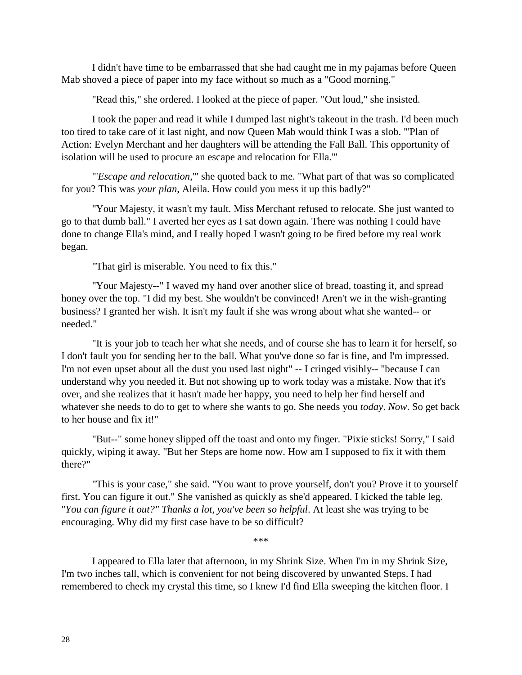I didn't have time to be embarrassed that she had caught me in my pajamas before Queen Mab shoved a piece of paper into my face without so much as a "Good morning."

"Read this," she ordered. I looked at the piece of paper. "Out loud," she insisted.

I took the paper and read it while I dumped last night's takeout in the trash. I'd been much too tired to take care of it last night, and now Queen Mab would think I was a slob. "'Plan of Action: Evelyn Merchant and her daughters will be attending the Fall Ball. This opportunity of isolation will be used to procure an escape and relocation for Ella.'"

"'*Escape and relocation*,'" she quoted back to me. "What part of that was so complicated for you? This was *your plan*, Aleila. How could you mess it up this badly?"

"Your Majesty, it wasn't my fault. Miss Merchant refused to relocate. She just wanted to go to that dumb ball." I averted her eyes as I sat down again. There was nothing I could have done to change Ella's mind, and I really hoped I wasn't going to be fired before my real work began.

"That girl is miserable. You need to fix this."

"Your Majesty--" I waved my hand over another slice of bread, toasting it, and spread honey over the top. "I did my best. She wouldn't be convinced! Aren't we in the wish-granting business? I granted her wish. It isn't my fault if she was wrong about what she wanted-- or needed."

"It is your job to teach her what she needs, and of course she has to learn it for herself, so I don't fault you for sending her to the ball. What you've done so far is fine, and I'm impressed. I'm not even upset about all the dust you used last night" -- I cringed visibly-- "because I can understand why you needed it. But not showing up to work today was a mistake. Now that it's over, and she realizes that it hasn't made her happy, you need to help her find herself and whatever she needs to do to get to where she wants to go. She needs you *today*. *Now*. So get back to her house and fix it!"

"But--" some honey slipped off the toast and onto my finger. "Pixie sticks! Sorry," I said quickly, wiping it away. "But her Steps are home now. How am I supposed to fix it with them there?"

"This is your case," she said. "You want to prove yourself, don't you? Prove it to yourself first. You can figure it out." She vanished as quickly as she'd appeared. I kicked the table leg. "*You can figure it out?" Thanks a lot, you've been so helpful*. At least she was trying to be encouraging. Why did my first case have to be so difficult?

\*\*\*

I appeared to Ella later that afternoon, in my Shrink Size. When I'm in my Shrink Size, I'm two inches tall, which is convenient for not being discovered by unwanted Steps. I had remembered to check my crystal this time, so I knew I'd find Ella sweeping the kitchen floor. I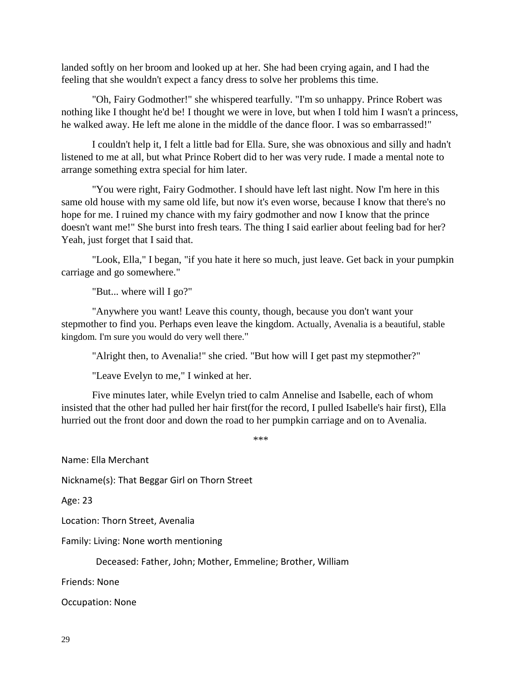landed softly on her broom and looked up at her. She had been crying again, and I had the feeling that she wouldn't expect a fancy dress to solve her problems this time.

"Oh, Fairy Godmother!" she whispered tearfully. "I'm so unhappy. Prince Robert was nothing like I thought he'd be! I thought we were in love, but when I told him I wasn't a princess, he walked away. He left me alone in the middle of the dance floor. I was so embarrassed!"

I couldn't help it, I felt a little bad for Ella. Sure, she was obnoxious and silly and hadn't listened to me at all, but what Prince Robert did to her was very rude. I made a mental note to arrange something extra special for him later.

"You were right, Fairy Godmother. I should have left last night. Now I'm here in this same old house with my same old life, but now it's even worse, because I know that there's no hope for me. I ruined my chance with my fairy godmother and now I know that the prince doesn't want me!" She burst into fresh tears. The thing I said earlier about feeling bad for her? Yeah, just forget that I said that.

"Look, Ella," I began, "if you hate it here so much, just leave. Get back in your pumpkin carriage and go somewhere."

"But... where will I go?"

"Anywhere you want! Leave this county, though, because you don't want your stepmother to find you. Perhaps even leave the kingdom. Actually, Avenalia is a beautiful, stable kingdom. I'm sure you would do very well there."

"Alright then, to Avenalia!" she cried. "But how will I get past my stepmother?"

"Leave Evelyn to me," I winked at her.

Five minutes later, while Evelyn tried to calm Annelise and Isabelle, each of whom insisted that the other had pulled her hair first(for the record, I pulled Isabelle's hair first), Ella hurried out the front door and down the road to her pumpkin carriage and on to Avenalia.

\*\*\*

Name: Ella Merchant

Nickname(s): That Beggar Girl on Thorn Street

Age: 23

Location: Thorn Street, Avenalia

Family: Living: None worth mentioning

Deceased: Father, John; Mother, Emmeline; Brother, William

Friends: None

Occupation: None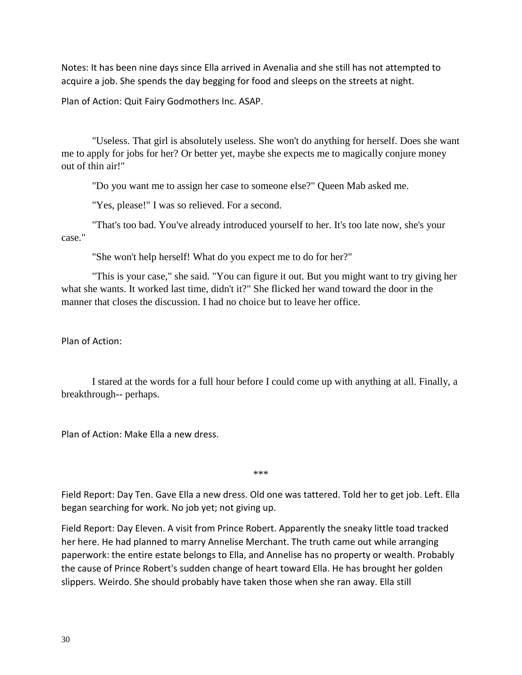Notes: It has been nine days since Ella arrived in Avenalia and she still has not attempted to acquire a job. She spends the day begging for food and sleeps on the streets at night.

Plan of Action: Quit Fairy Godmothers Inc. ASAP.

"Useless. That girl is absolutely useless. She won't do anything for herself. Does she want me to apply for jobs for her? Or better yet, maybe she expects me to magically conjure money out of thin air!"

"Do you want me to assign her case to someone else?" Queen Mab asked me.

"Yes, please!" I was so relieved. For a second.

"That's too bad. You've already introduced yourself to her. It's too late now, she's your case."

"She won't help herself! What do you expect me to do for her?"

"This is your case," she said. "You can figure it out. But you might want to try giving her what she wants. It worked last time, didn't it?" She flicked her wand toward the door in the manner that closes the discussion. I had no choice but to leave her office.

Plan of Action:

I stared at the words for a full hour before I could come up with anything at all. Finally, a breakthrough-- perhaps.

Plan of Action: Make Ella a new dress.

\*\*\*

Field Report: Day Ten. Gave Ella a new dress. Old one was tattered. Told her to get job. Left. Ella began searching for work. No job yet; not giving up.

Field Report: Day Eleven. A visit from Prince Robert. Apparently the sneaky little toad tracked her here. He had planned to marry Annelise Merchant. The truth came out while arranging paperwork: the entire estate belongs to Ella, and Annelise has no property or wealth. Probably the cause of Prince Robert's sudden change of heart toward Ella. He has brought her golden slippers. Weirdo. She should probably have taken those when she ran away. Ella still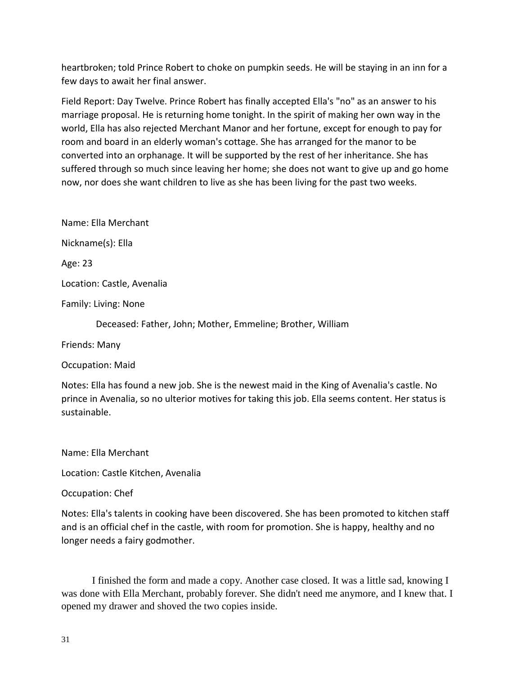heartbroken; told Prince Robert to choke on pumpkin seeds. He will be staying in an inn for a few days to await her final answer.

Field Report: Day Twelve. Prince Robert has finally accepted Ella's "no" as an answer to his marriage proposal. He is returning home tonight. In the spirit of making her own way in the world, Ella has also rejected Merchant Manor and her fortune, except for enough to pay for room and board in an elderly woman's cottage. She has arranged for the manor to be converted into an orphanage. It will be supported by the rest of her inheritance. She has suffered through so much since leaving her home; she does not want to give up and go home now, nor does she want children to live as she has been living for the past two weeks.

Name: Ella Merchant

Nickname(s): Ella

Age: 23

Location: Castle, Avenalia

Family: Living: None

Deceased: Father, John; Mother, Emmeline; Brother, William

Friends: Many

Occupation: Maid

Notes: Ella has found a new job. She is the newest maid in the King of Avenalia's castle. No prince in Avenalia, so no ulterior motives for taking this job. Ella seems content. Her status is sustainable.

Name: Ella Merchant

Location: Castle Kitchen, Avenalia

Occupation: Chef

Notes: Ella's talents in cooking have been discovered. She has been promoted to kitchen staff and is an official chef in the castle, with room for promotion. She is happy, healthy and no longer needs a fairy godmother.

I finished the form and made a copy. Another case closed. It was a little sad, knowing I was done with Ella Merchant, probably forever. She didn't need me anymore, and I knew that. I opened my drawer and shoved the two copies inside.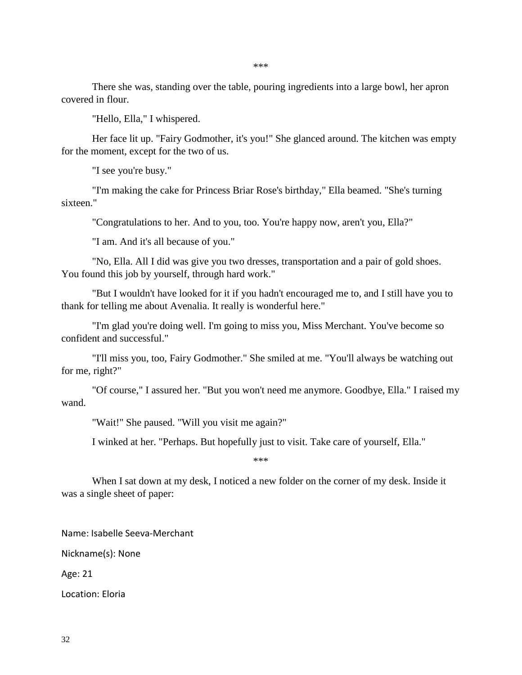There she was, standing over the table, pouring ingredients into a large bowl, her apron covered in flour.

"Hello, Ella," I whispered.

Her face lit up. "Fairy Godmother, it's you!" She glanced around. The kitchen was empty for the moment, except for the two of us.

"I see you're busy."

"I'm making the cake for Princess Briar Rose's birthday," Ella beamed. "She's turning sixteen."

"Congratulations to her. And to you, too. You're happy now, aren't you, Ella?"

"I am. And it's all because of you."

"No, Ella. All I did was give you two dresses, transportation and a pair of gold shoes. You found this job by yourself, through hard work."

"But I wouldn't have looked for it if you hadn't encouraged me to, and I still have you to thank for telling me about Avenalia. It really is wonderful here."

"I'm glad you're doing well. I'm going to miss you, Miss Merchant. You've become so confident and successful."

"I'll miss you, too, Fairy Godmother." She smiled at me. "You'll always be watching out for me, right?"

"Of course," I assured her. "But you won't need me anymore. Goodbye, Ella." I raised my wand.

"Wait!" She paused. "Will you visit me again?"

I winked at her. "Perhaps. But hopefully just to visit. Take care of yourself, Ella."

\*\*\*

When I sat down at my desk, I noticed a new folder on the corner of my desk. Inside it was a single sheet of paper:

Name: Isabelle Seeva-Merchant

Nickname(s): None

Age: 21

Location: Eloria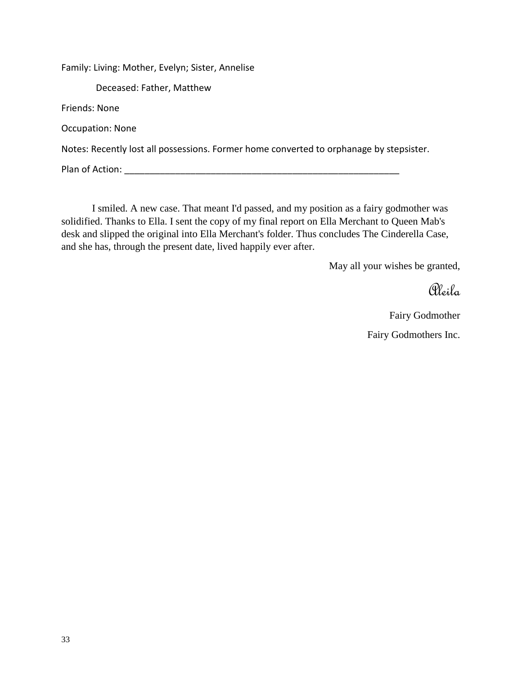Family: Living: Mother, Evelyn; Sister, Annelise Deceased: Father, Matthew Friends: None Occupation: None Notes: Recently lost all possessions. Former home converted to orphanage by stepsister. Plan of Action: **Example 20** and  $\overline{P}$  and  $\overline{P}$  and  $\overline{P}$  and  $\overline{P}$  and  $\overline{P}$  and  $\overline{P}$  and  $\overline{P}$  and  $\overline{P}$  and  $\overline{P}$  and  $\overline{P}$  and  $\overline{P}$  and  $\overline{P}$  and  $\overline{P}$  and  $\overline{P}$  and  $\overline{P}$ 

I smiled. A new case. That meant I'd passed, and my position as a fairy godmother was solidified. Thanks to Ella. I sent the copy of my final report on Ella Merchant to Queen Mab's desk and slipped the original into Ella Merchant's folder. Thus concludes The Cinderella Case, and she has, through the present date, lived happily ever after.

May all your wishes be granted,

Aleila

Fairy Godmother Fairy Godmothers Inc.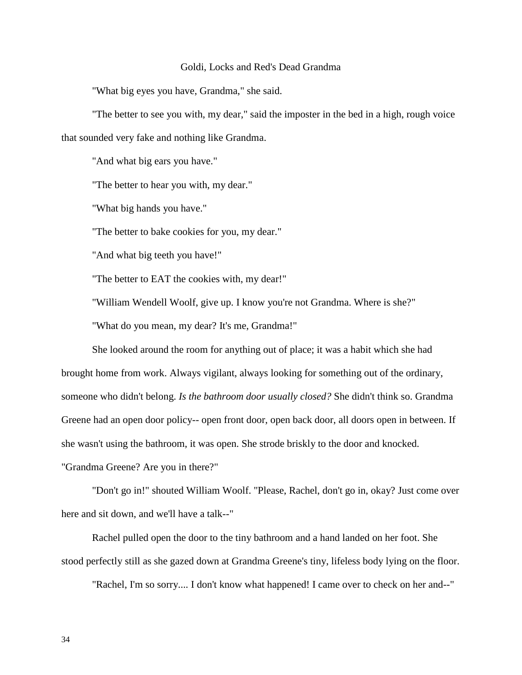#### Goldi, Locks and Red's Dead Grandma

"What big eyes you have, Grandma," she said.

"The better to see you with, my dear," said the imposter in the bed in a high, rough voice that sounded very fake and nothing like Grandma.

"And what big ears you have."

"The better to hear you with, my dear."

"What big hands you have."

"The better to bake cookies for you, my dear."

"And what big teeth you have!"

"The better to EAT the cookies with, my dear!"

"William Wendell Woolf, give up. I know you're not Grandma. Where is she?"

"What do you mean, my dear? It's me, Grandma!"

She looked around the room for anything out of place; it was a habit which she had brought home from work. Always vigilant, always looking for something out of the ordinary, someone who didn't belong. *Is the bathroom door usually closed?* She didn't think so. Grandma Greene had an open door policy-- open front door, open back door, all doors open in between. If she wasn't using the bathroom, it was open. She strode briskly to the door and knocked. "Grandma Greene? Are you in there?"

"Don't go in!" shouted William Woolf. "Please, Rachel, don't go in, okay? Just come over here and sit down, and we'll have a talk--"

Rachel pulled open the door to the tiny bathroom and a hand landed on her foot. She stood perfectly still as she gazed down at Grandma Greene's tiny, lifeless body lying on the floor.

"Rachel, I'm so sorry.... I don't know what happened! I came over to check on her and--"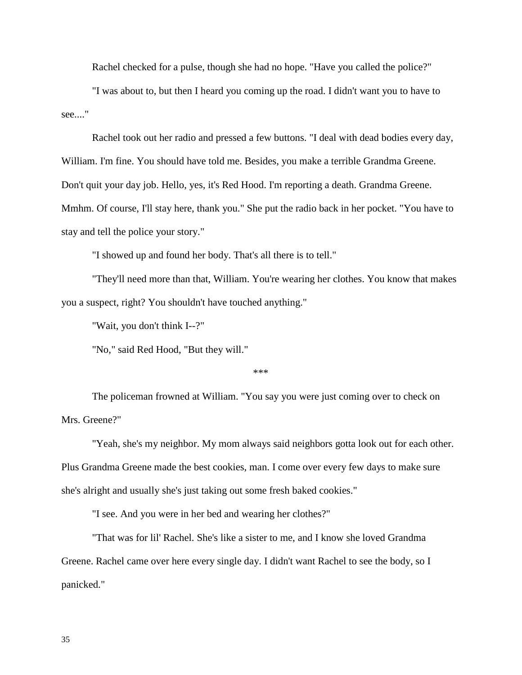Rachel checked for a pulse, though she had no hope. "Have you called the police?"

"I was about to, but then I heard you coming up the road. I didn't want you to have to see...."

Rachel took out her radio and pressed a few buttons. "I deal with dead bodies every day, William. I'm fine. You should have told me. Besides, you make a terrible Grandma Greene. Don't quit your day job. Hello, yes, it's Red Hood. I'm reporting a death. Grandma Greene. Mmhm. Of course, I'll stay here, thank you." She put the radio back in her pocket. "You have to stay and tell the police your story."

"I showed up and found her body. That's all there is to tell."

"They'll need more than that, William. You're wearing her clothes. You know that makes you a suspect, right? You shouldn't have touched anything."

"Wait, you don't think I--?"

"No," said Red Hood, "But they will."

\*\*\*

The policeman frowned at William. "You say you were just coming over to check on Mrs. Greene?"

"Yeah, she's my neighbor. My mom always said neighbors gotta look out for each other. Plus Grandma Greene made the best cookies, man. I come over every few days to make sure she's alright and usually she's just taking out some fresh baked cookies."

"I see. And you were in her bed and wearing her clothes?"

"That was for lil' Rachel. She's like a sister to me, and I know she loved Grandma Greene. Rachel came over here every single day. I didn't want Rachel to see the body, so I panicked."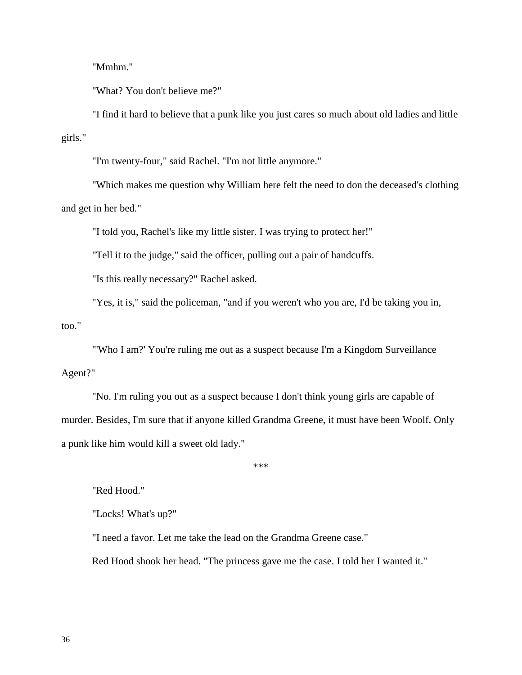"Mmhm."

"What? You don't believe me?"

"I find it hard to believe that a punk like you just cares so much about old ladies and little girls."

"I'm twenty-four," said Rachel. "I'm not little anymore."

"Which makes me question why William here felt the need to don the deceased's clothing and get in her bed."

"I told you, Rachel's like my little sister. I was trying to protect her!"

"Tell it to the judge," said the officer, pulling out a pair of handcuffs.

"Is this really necessary?" Rachel asked.

"Yes, it is," said the policeman, "and if you weren't who you are, I'd be taking you in, too."

"'Who I am?' You're ruling me out as a suspect because I'm a Kingdom Surveillance Agent?"

"No. I'm ruling you out as a suspect because I don't think young girls are capable of murder. Besides, I'm sure that if anyone killed Grandma Greene, it must have been Woolf. Only a punk like him would kill a sweet old lady."

\*\*\*

"Red Hood."

"Locks! What's up?"

"I need a favor. Let me take the lead on the Grandma Greene case."

Red Hood shook her head. "The princess gave me the case. I told her I wanted it."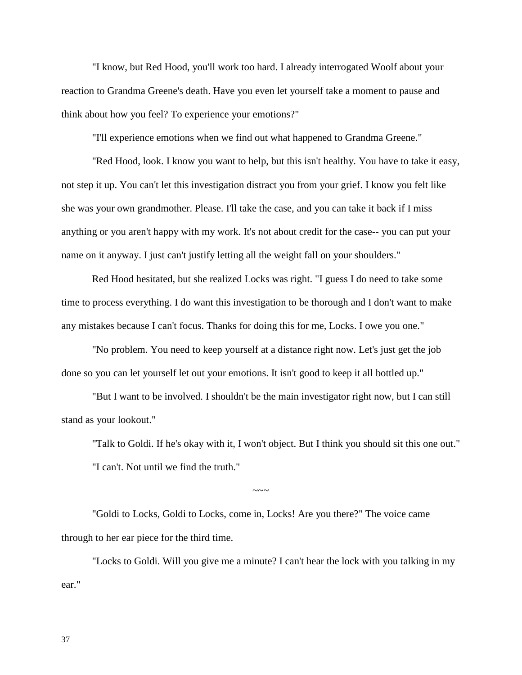"I know, but Red Hood, you'll work too hard. I already interrogated Woolf about your reaction to Grandma Greene's death. Have you even let yourself take a moment to pause and think about how you feel? To experience your emotions?"

"I'll experience emotions when we find out what happened to Grandma Greene."

"Red Hood, look. I know you want to help, but this isn't healthy. You have to take it easy, not step it up. You can't let this investigation distract you from your grief. I know you felt like she was your own grandmother. Please. I'll take the case, and you can take it back if I miss anything or you aren't happy with my work. It's not about credit for the case-- you can put your name on it anyway. I just can't justify letting all the weight fall on your shoulders."

Red Hood hesitated, but she realized Locks was right. "I guess I do need to take some time to process everything. I do want this investigation to be thorough and I don't want to make any mistakes because I can't focus. Thanks for doing this for me, Locks. I owe you one."

"No problem. You need to keep yourself at a distance right now. Let's just get the job done so you can let yourself let out your emotions. It isn't good to keep it all bottled up."

"But I want to be involved. I shouldn't be the main investigator right now, but I can still stand as your lookout."

"Talk to Goldi. If he's okay with it, I won't object. But I think you should sit this one out." "I can't. Not until we find the truth."

"Goldi to Locks, Goldi to Locks, come in, Locks! Are you there?" The voice came through to her ear piece for the third time.

"Locks to Goldi. Will you give me a minute? I can't hear the lock with you talking in my ear."

 $\sim\sim\sim$ 

37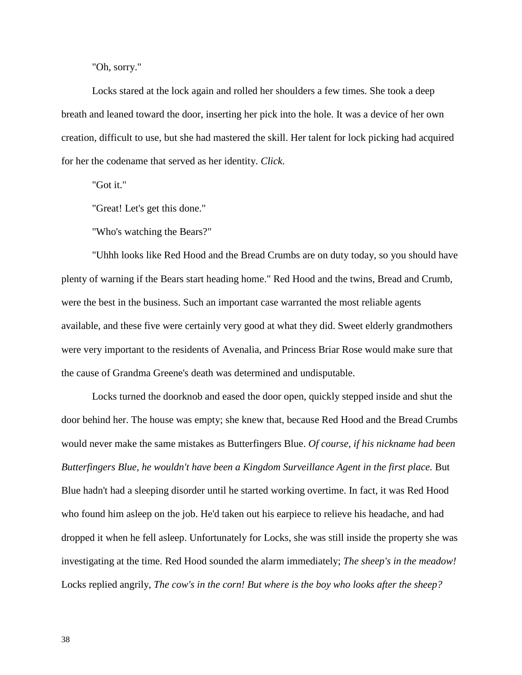"Oh, sorry."

Locks stared at the lock again and rolled her shoulders a few times. She took a deep breath and leaned toward the door, inserting her pick into the hole. It was a device of her own creation, difficult to use, but she had mastered the skill. Her talent for lock picking had acquired for her the codename that served as her identity. *Click*.

"Got it."

"Great! Let's get this done."

"Who's watching the Bears?"

"Uhhh looks like Red Hood and the Bread Crumbs are on duty today, so you should have plenty of warning if the Bears start heading home." Red Hood and the twins, Bread and Crumb, were the best in the business. Such an important case warranted the most reliable agents available, and these five were certainly very good at what they did. Sweet elderly grandmothers were very important to the residents of Avenalia, and Princess Briar Rose would make sure that the cause of Grandma Greene's death was determined and undisputable.

Locks turned the doorknob and eased the door open, quickly stepped inside and shut the door behind her. The house was empty; she knew that, because Red Hood and the Bread Crumbs would never make the same mistakes as Butterfingers Blue. *Of course, if his nickname had been Butterfingers Blue, he wouldn't have been a Kingdom Surveillance Agent in the first place.* But Blue hadn't had a sleeping disorder until he started working overtime. In fact, it was Red Hood who found him asleep on the job. He'd taken out his earpiece to relieve his headache, and had dropped it when he fell asleep. Unfortunately for Locks, she was still inside the property she was investigating at the time. Red Hood sounded the alarm immediately; *The sheep's in the meadow!* Locks replied angrily, *The cow's in the corn! But where is the boy who looks after the sheep?*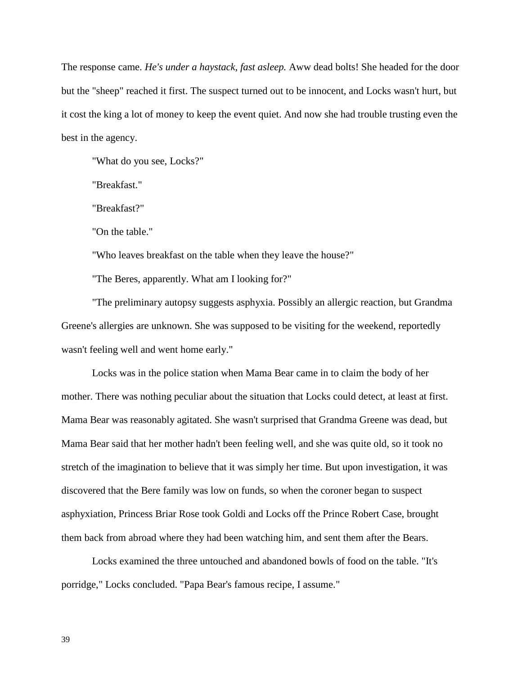The response came. *He's under a haystack, fast asleep.* Aww dead bolts! She headed for the door but the "sheep" reached it first. The suspect turned out to be innocent, and Locks wasn't hurt, but it cost the king a lot of money to keep the event quiet. And now she had trouble trusting even the best in the agency.

"What do you see, Locks?"

"Breakfast."

"Breakfast?"

"On the table."

"Who leaves breakfast on the table when they leave the house?"

"The Beres, apparently. What am I looking for?"

"The preliminary autopsy suggests asphyxia. Possibly an allergic reaction, but Grandma Greene's allergies are unknown. She was supposed to be visiting for the weekend, reportedly wasn't feeling well and went home early."

Locks was in the police station when Mama Bear came in to claim the body of her mother. There was nothing peculiar about the situation that Locks could detect, at least at first. Mama Bear was reasonably agitated. She wasn't surprised that Grandma Greene was dead, but Mama Bear said that her mother hadn't been feeling well, and she was quite old, so it took no stretch of the imagination to believe that it was simply her time. But upon investigation, it was discovered that the Bere family was low on funds, so when the coroner began to suspect asphyxiation, Princess Briar Rose took Goldi and Locks off the Prince Robert Case, brought them back from abroad where they had been watching him, and sent them after the Bears.

Locks examined the three untouched and abandoned bowls of food on the table. "It's porridge," Locks concluded. "Papa Bear's famous recipe, I assume."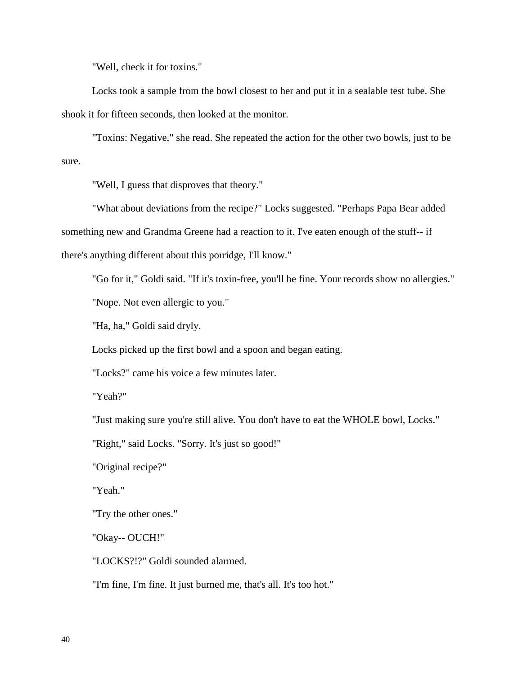"Well, check it for toxins."

Locks took a sample from the bowl closest to her and put it in a sealable test tube. She shook it for fifteen seconds, then looked at the monitor.

"Toxins: Negative," she read. She repeated the action for the other two bowls, just to be sure.

"Well, I guess that disproves that theory."

"What about deviations from the recipe?" Locks suggested. "Perhaps Papa Bear added something new and Grandma Greene had a reaction to it. I've eaten enough of the stuff-- if there's anything different about this porridge, I'll know."

"Go for it," Goldi said. "If it's toxin-free, you'll be fine. Your records show no allergies."

"Nope. Not even allergic to you."

"Ha, ha," Goldi said dryly.

Locks picked up the first bowl and a spoon and began eating.

"Locks?" came his voice a few minutes later.

"Yeah?"

"Just making sure you're still alive. You don't have to eat the WHOLE bowl, Locks."

"Right," said Locks. "Sorry. It's just so good!"

"Original recipe?"

"Yeah."

"Try the other ones."

"Okay-- OUCH!"

"LOCKS?!?" Goldi sounded alarmed.

"I'm fine, I'm fine. It just burned me, that's all. It's too hot."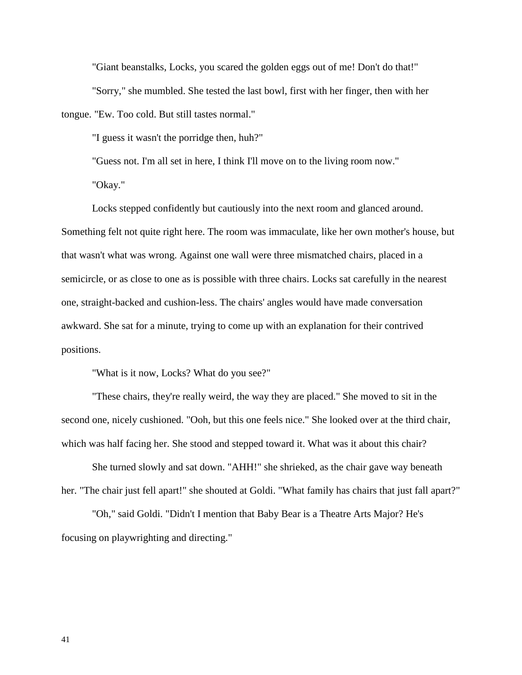"Giant beanstalks, Locks, you scared the golden eggs out of me! Don't do that!"

"Sorry," she mumbled. She tested the last bowl, first with her finger, then with her

tongue. "Ew. Too cold. But still tastes normal."

"I guess it wasn't the porridge then, huh?"

"Guess not. I'm all set in here, I think I'll move on to the living room now."

"Okay."

Locks stepped confidently but cautiously into the next room and glanced around. Something felt not quite right here. The room was immaculate, like her own mother's house, but that wasn't what was wrong. Against one wall were three mismatched chairs, placed in a semicircle, or as close to one as is possible with three chairs. Locks sat carefully in the nearest one, straight-backed and cushion-less. The chairs' angles would have made conversation awkward. She sat for a minute, trying to come up with an explanation for their contrived positions.

"What is it now, Locks? What do you see?"

"These chairs, they're really weird, the way they are placed." She moved to sit in the second one, nicely cushioned. "Ooh, but this one feels nice." She looked over at the third chair, which was half facing her. She stood and stepped toward it. What was it about this chair?

She turned slowly and sat down. "AHH!" she shrieked, as the chair gave way beneath her. "The chair just fell apart!" she shouted at Goldi. "What family has chairs that just fall apart?"

"Oh," said Goldi. "Didn't I mention that Baby Bear is a Theatre Arts Major? He's focusing on playwrighting and directing."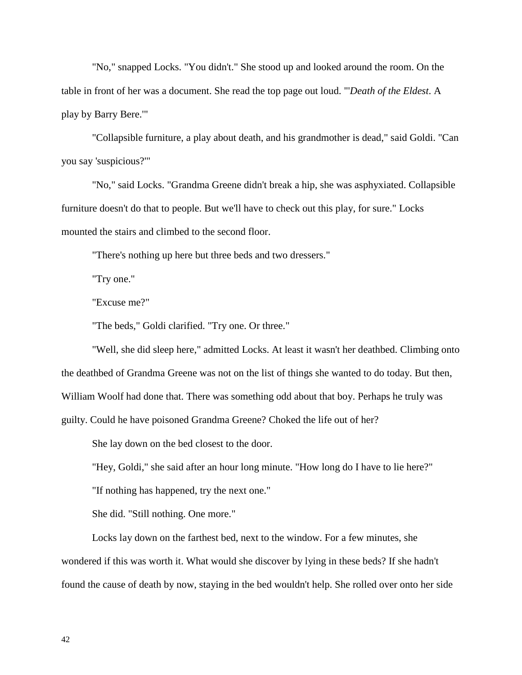"No," snapped Locks. "You didn't." She stood up and looked around the room. On the table in front of her was a document. She read the top page out loud. "'*Death of the Eldest*. A play by Barry Bere.'"

"Collapsible furniture, a play about death, and his grandmother is dead," said Goldi. "Can you say 'suspicious?'"

"No," said Locks. "Grandma Greene didn't break a hip, she was asphyxiated. Collapsible furniture doesn't do that to people. But we'll have to check out this play, for sure." Locks mounted the stairs and climbed to the second floor.

"There's nothing up here but three beds and two dressers."

"Try one."

"Excuse me?"

"The beds," Goldi clarified. "Try one. Or three."

"Well, she did sleep here," admitted Locks. At least it wasn't her deathbed. Climbing onto the deathbed of Grandma Greene was not on the list of things she wanted to do today. But then, William Woolf had done that. There was something odd about that boy. Perhaps he truly was guilty. Could he have poisoned Grandma Greene? Choked the life out of her?

She lay down on the bed closest to the door.

"Hey, Goldi," she said after an hour long minute. "How long do I have to lie here?"

"If nothing has happened, try the next one."

She did. "Still nothing. One more."

Locks lay down on the farthest bed, next to the window. For a few minutes, she wondered if this was worth it. What would she discover by lying in these beds? If she hadn't found the cause of death by now, staying in the bed wouldn't help. She rolled over onto her side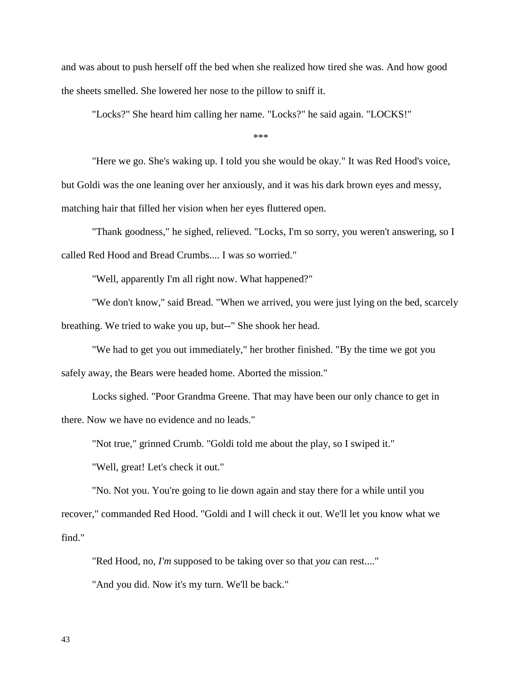and was about to push herself off the bed when she realized how tired she was. And how good the sheets smelled. She lowered her nose to the pillow to sniff it.

"Locks?" She heard him calling her name. "Locks?" he said again. "LOCKS!"

\*\*\*

"Here we go. She's waking up. I told you she would be okay." It was Red Hood's voice, but Goldi was the one leaning over her anxiously, and it was his dark brown eyes and messy, matching hair that filled her vision when her eyes fluttered open.

"Thank goodness," he sighed, relieved. "Locks, I'm so sorry, you weren't answering, so I called Red Hood and Bread Crumbs.... I was so worried."

"Well, apparently I'm all right now. What happened?"

"We don't know," said Bread. "When we arrived, you were just lying on the bed, scarcely breathing. We tried to wake you up, but--" She shook her head.

"We had to get you out immediately," her brother finished. "By the time we got you safely away, the Bears were headed home. Aborted the mission."

Locks sighed. "Poor Grandma Greene. That may have been our only chance to get in there. Now we have no evidence and no leads."

"Not true," grinned Crumb. "Goldi told me about the play, so I swiped it."

"Well, great! Let's check it out."

"No. Not you. You're going to lie down again and stay there for a while until you recover," commanded Red Hood. "Goldi and I will check it out. We'll let you know what we find."

"Red Hood, no, *I'm* supposed to be taking over so that *you* can rest...."

"And you did. Now it's my turn. We'll be back."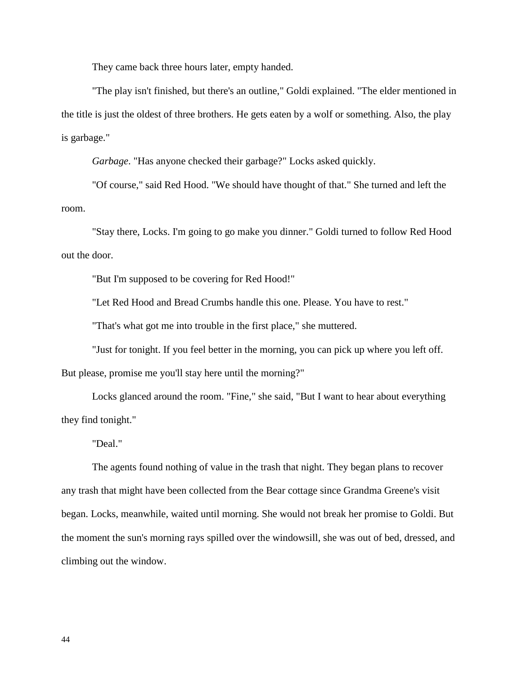They came back three hours later, empty handed.

"The play isn't finished, but there's an outline," Goldi explained. "The elder mentioned in the title is just the oldest of three brothers. He gets eaten by a wolf or something. Also, the play is garbage."

*Garbage*. "Has anyone checked their garbage?" Locks asked quickly.

"Of course," said Red Hood. "We should have thought of that." She turned and left the room.

"Stay there, Locks. I'm going to go make you dinner." Goldi turned to follow Red Hood out the door.

"But I'm supposed to be covering for Red Hood!"

"Let Red Hood and Bread Crumbs handle this one. Please. You have to rest."

"That's what got me into trouble in the first place," she muttered.

"Just for tonight. If you feel better in the morning, you can pick up where you left off. But please, promise me you'll stay here until the morning?"

Locks glanced around the room. "Fine," she said, "But I want to hear about everything they find tonight."

"Deal."

The agents found nothing of value in the trash that night. They began plans to recover any trash that might have been collected from the Bear cottage since Grandma Greene's visit began. Locks, meanwhile, waited until morning. She would not break her promise to Goldi. But the moment the sun's morning rays spilled over the windowsill, she was out of bed, dressed, and climbing out the window.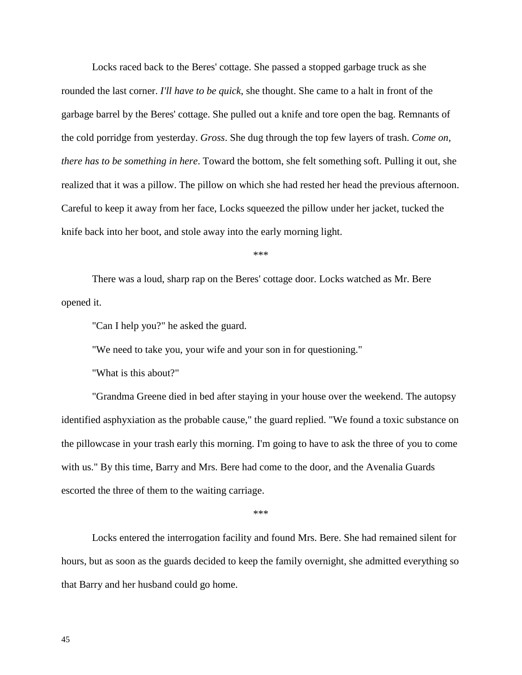Locks raced back to the Beres' cottage. She passed a stopped garbage truck as she rounded the last corner. *I'll have to be quick*, she thought. She came to a halt in front of the garbage barrel by the Beres' cottage. She pulled out a knife and tore open the bag. Remnants of the cold porridge from yesterday. *Gross*. She dug through the top few layers of trash. *Come on, there has to be something in here*. Toward the bottom, she felt something soft. Pulling it out, she realized that it was a pillow. The pillow on which she had rested her head the previous afternoon. Careful to keep it away from her face, Locks squeezed the pillow under her jacket, tucked the knife back into her boot, and stole away into the early morning light.

\*\*\*

There was a loud, sharp rap on the Beres' cottage door. Locks watched as Mr. Bere opened it.

"Can I help you?" he asked the guard.

"We need to take you, your wife and your son in for questioning."

"What is this about?"

"Grandma Greene died in bed after staying in your house over the weekend. The autopsy identified asphyxiation as the probable cause," the guard replied. "We found a toxic substance on the pillowcase in your trash early this morning. I'm going to have to ask the three of you to come with us." By this time, Barry and Mrs. Bere had come to the door, and the Avenalia Guards escorted the three of them to the waiting carriage.

\*\*\*

Locks entered the interrogation facility and found Mrs. Bere. She had remained silent for hours, but as soon as the guards decided to keep the family overnight, she admitted everything so that Barry and her husband could go home.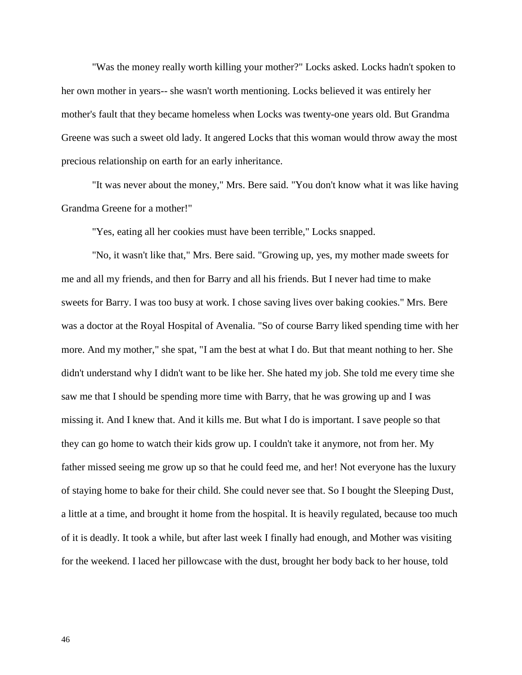"Was the money really worth killing your mother?" Locks asked. Locks hadn't spoken to her own mother in years-- she wasn't worth mentioning. Locks believed it was entirely her mother's fault that they became homeless when Locks was twenty-one years old. But Grandma Greene was such a sweet old lady. It angered Locks that this woman would throw away the most precious relationship on earth for an early inheritance.

"It was never about the money," Mrs. Bere said. "You don't know what it was like having Grandma Greene for a mother!"

"Yes, eating all her cookies must have been terrible," Locks snapped.

"No, it wasn't like that," Mrs. Bere said. "Growing up, yes, my mother made sweets for me and all my friends, and then for Barry and all his friends. But I never had time to make sweets for Barry. I was too busy at work. I chose saving lives over baking cookies." Mrs. Bere was a doctor at the Royal Hospital of Avenalia. "So of course Barry liked spending time with her more. And my mother," she spat, "I am the best at what I do. But that meant nothing to her. She didn't understand why I didn't want to be like her. She hated my job. She told me every time she saw me that I should be spending more time with Barry, that he was growing up and I was missing it. And I knew that. And it kills me. But what I do is important. I save people so that they can go home to watch their kids grow up. I couldn't take it anymore, not from her. My father missed seeing me grow up so that he could feed me, and her! Not everyone has the luxury of staying home to bake for their child. She could never see that. So I bought the Sleeping Dust, a little at a time, and brought it home from the hospital. It is heavily regulated, because too much of it is deadly. It took a while, but after last week I finally had enough, and Mother was visiting for the weekend. I laced her pillowcase with the dust, brought her body back to her house, told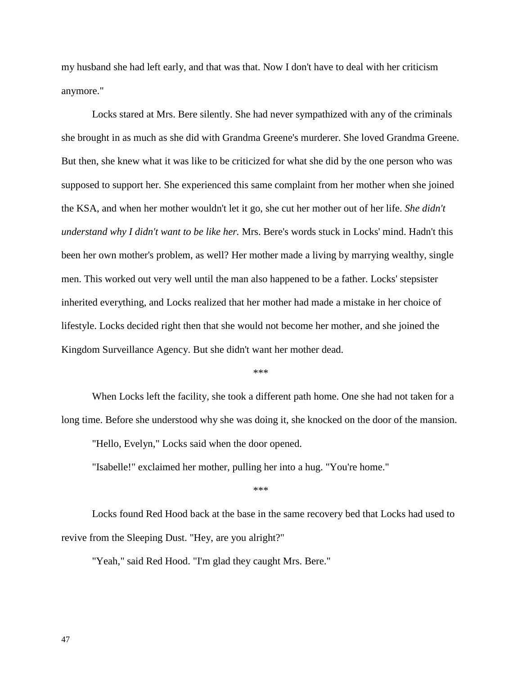my husband she had left early, and that was that. Now I don't have to deal with her criticism anymore."

Locks stared at Mrs. Bere silently. She had never sympathized with any of the criminals she brought in as much as she did with Grandma Greene's murderer. She loved Grandma Greene. But then, she knew what it was like to be criticized for what she did by the one person who was supposed to support her. She experienced this same complaint from her mother when she joined the KSA, and when her mother wouldn't let it go, she cut her mother out of her life. *She didn't understand why I didn't want to be like her.* Mrs. Bere's words stuck in Locks' mind. Hadn't this been her own mother's problem, as well? Her mother made a living by marrying wealthy, single men. This worked out very well until the man also happened to be a father. Locks' stepsister inherited everything, and Locks realized that her mother had made a mistake in her choice of lifestyle. Locks decided right then that she would not become her mother, and she joined the Kingdom Surveillance Agency. But she didn't want her mother dead.

\*\*\*

When Locks left the facility, she took a different path home. One she had not taken for a long time. Before she understood why she was doing it, she knocked on the door of the mansion.

"Hello, Evelyn," Locks said when the door opened.

"Isabelle!" exclaimed her mother, pulling her into a hug. "You're home."

\*\*\*

Locks found Red Hood back at the base in the same recovery bed that Locks had used to revive from the Sleeping Dust. "Hey, are you alright?"

"Yeah," said Red Hood. "I'm glad they caught Mrs. Bere."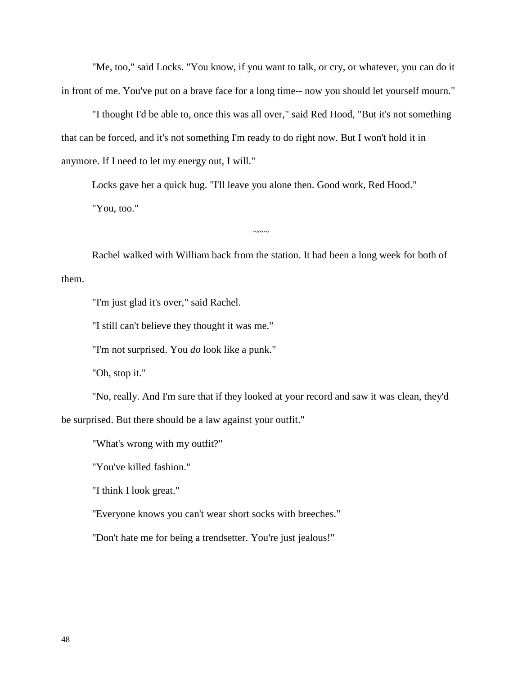"Me, too," said Locks. "You know, if you want to talk, or cry, or whatever, you can do it in front of me. You've put on a brave face for a long time-- now you should let yourself mourn."

"I thought I'd be able to, once this was all over," said Red Hood, "But it's not something that can be forced, and it's not something I'm ready to do right now. But I won't hold it in anymore. If I need to let my energy out, I will."

Locks gave her a quick hug. "I'll leave you alone then. Good work, Red Hood." "You, too."

Rachel walked with William back from the station. It had been a long week for both of them.

 $\sim\sim\sim$ 

"I'm just glad it's over," said Rachel.

"I still can't believe they thought it was me."

"I'm not surprised. You *do* look like a punk."

"Oh, stop it."

"No, really. And I'm sure that if they looked at your record and saw it was clean, they'd be surprised. But there should be a law against your outfit."

"What's wrong with my outfit?"

"You've killed fashion."

"I think I look great."

"Everyone knows you can't wear short socks with breeches."

"Don't hate me for being a trendsetter. You're just jealous!"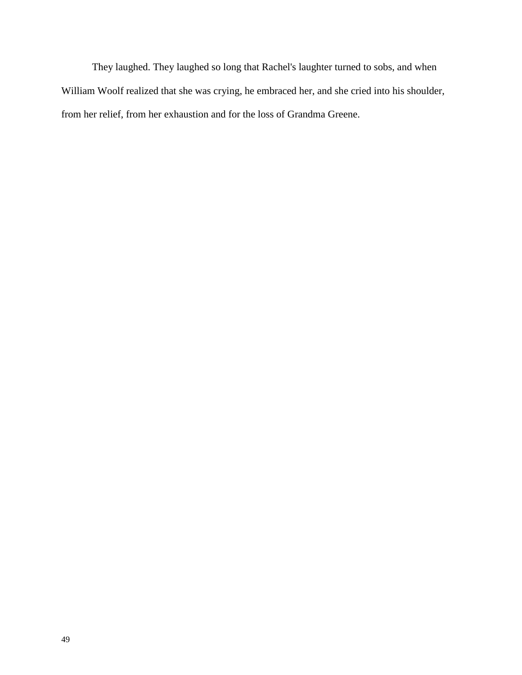They laughed. They laughed so long that Rachel's laughter turned to sobs, and when William Woolf realized that she was crying, he embraced her, and she cried into his shoulder, from her relief, from her exhaustion and for the loss of Grandma Greene.